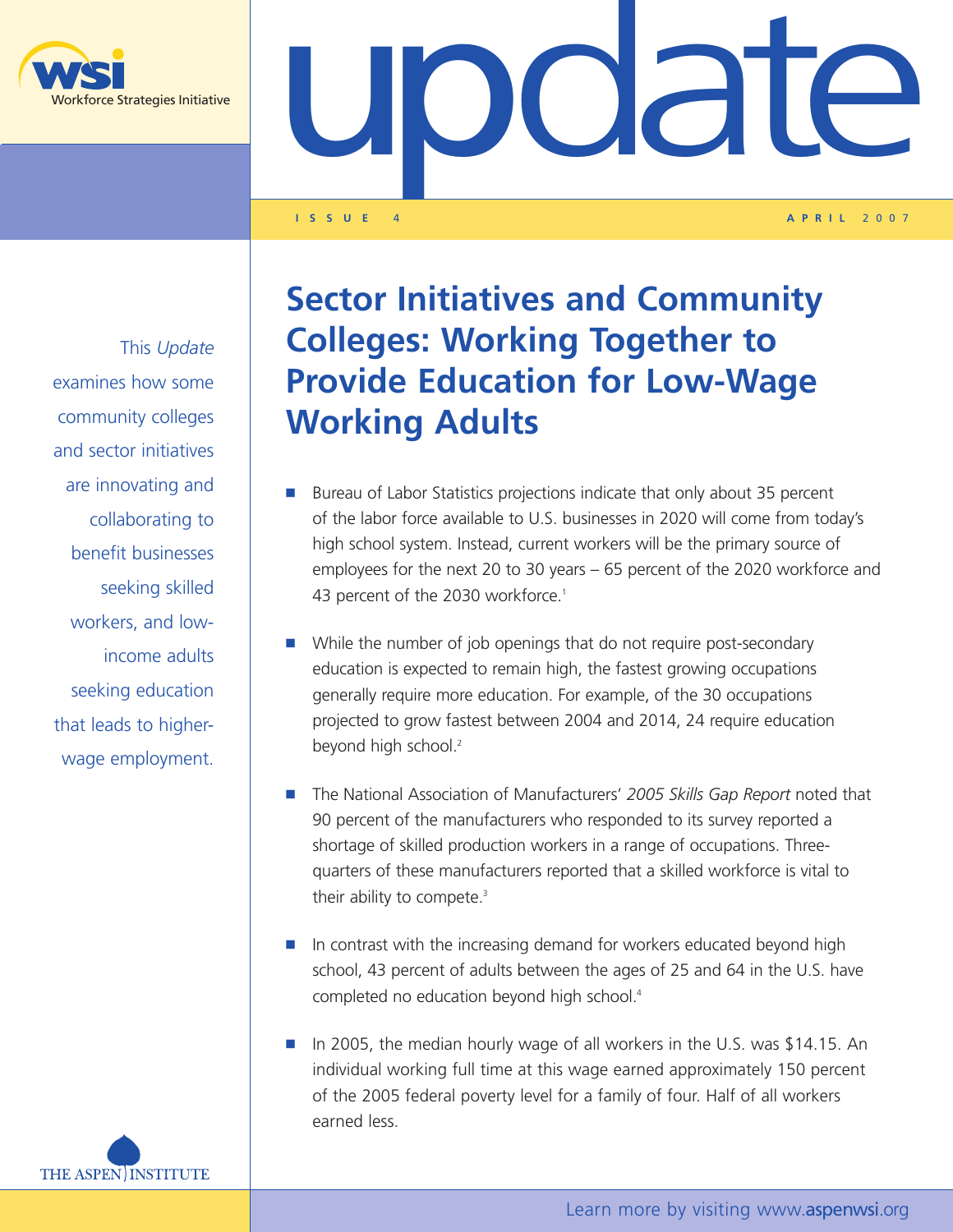

UDCCCCC

**I SSUE** 4 **A PRIL** 2 007

This *Update* examines how some community colleges and sector initiatives are innovating and collaborating to benefit businesses seeking skilled workers, and lowincome adults seeking education that leads to higherwage employment.



- **n** Bureau of Labor Statistics projections indicate that only about 35 percent of the labor force available to U.S. businesses in 2020 will come from today's high school system. Instead, current workers will be the primary source of employees for the next 20 to 30 years – 65 percent of the 2020 workforce and 43 percent of the 2030 workforce.<sup>1</sup>
- **n** While the number of job openings that do not require post-secondary education is expected to remain high, the fastest growing occupations generally require more education. For example, of the 30 occupations projected to grow fastest between 2004 and 2014, 24 require education beyond high school.<sup>2</sup>
- **n** The National Association of Manufacturers' *2005 Skills Gap Report* noted that 90 percent of the manufacturers who responded to its survey reported a shortage of skilled production workers in a range of occupations. Threequarters of these manufacturers reported that a skilled workforce is vital to their ability to compete.<sup>3</sup>
- **n** In contrast with the increasing demand for workers educated beyond high school, 43 percent of adults between the ages of 25 and 64 in the U.S. have completed no education beyond high school.4
- **n** In 2005, the median hourly wage of all workers in the U.S. was \$14.15. An individual working full time at this wage earned approximately 150 percent of the 2005 federal poverty level for a family of four. Half of all workers earned less.

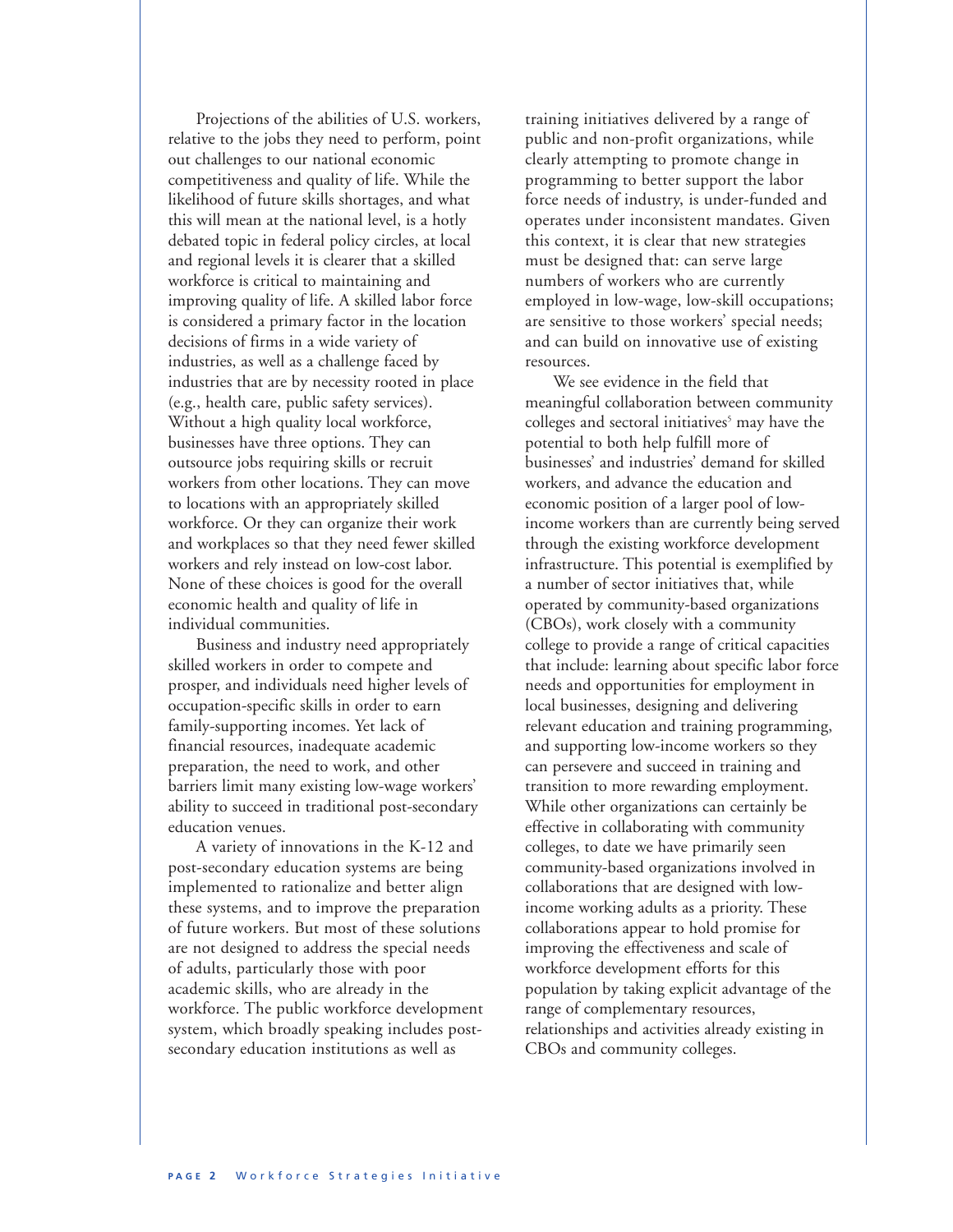Projections of the abilities of U.S. workers, relative to the jobs they need to perform, point out challenges to our national economic competitiveness and quality of life. While the likelihood of future skills shortages, and what this will mean at the national level, is a hotly debated topic in federal policy circles, at local and regional levels it is clearer that a skilled workforce is critical to maintaining and improving quality of life. A skilled labor force is considered a primary factor in the location decisions of firms in a wide variety of industries, as well as a challenge faced by industries that are by necessity rooted in place (e.g., health care, public safety services). Without a high quality local workforce, businesses have three options. They can outsource jobs requiring skills or recruit workers from other locations. They can move to locations with an appropriately skilled workforce. Or they can organize their work and workplaces so that they need fewer skilled workers and rely instead on low-cost labor. None of these choices is good for the overall economic health and quality of life in individual communities.

Business and industry need appropriately skilled workers in order to compete and prosper, and individuals need higher levels of occupation-specific skills in order to earn family-supporting incomes. Yet lack of financial resources, inadequate academic preparation, the need to work, and other barriers limit many existing low-wage workers' ability to succeed in traditional post-secondary education venues.

A variety of innovations in the K-12 and post-secondary education systems are being implemented to rationalize and better align these systems, and to improve the preparation of future workers. But most of these solutions are not designed to address the special needs of adults, particularly those with poor academic skills, who are already in the workforce. The public workforce development system, which broadly speaking includes postsecondary education institutions as well as

training initiatives delivered by a range of public and non-profit organizations, while clearly attempting to promote change in programming to better support the labor force needs of industry, is under-funded and operates under inconsistent mandates. Given this context, it is clear that new strategies must be designed that: can serve large numbers of workers who are currently employed in low-wage, low-skill occupations; are sensitive to those workers' special needs; and can build on innovative use of existing resources.

We see evidence in the field that meaningful collaboration between community colleges and sectoral initiatives<sup>5</sup> may have the potential to both help fulfill more of businesses' and industries' demand for skilled workers, and advance the education and economic position of a larger pool of lowincome workers than are currently being served through the existing workforce development infrastructure. This potential is exemplified by a number of sector initiatives that, while operated by community-based organizations (CBOs), work closely with a community college to provide a range of critical capacities that include: learning about specific labor force needs and opportunities for employment in local businesses, designing and delivering relevant education and training programming, and supporting low-income workers so they can persevere and succeed in training and transition to more rewarding employment. While other organizations can certainly be effective in collaborating with community colleges, to date we have primarily seen community-based organizations involved in collaborations that are designed with lowincome working adults as a priority. These collaborations appear to hold promise for improving the effectiveness and scale of workforce development efforts for this population by taking explicit advantage of the range of complementary resources, relationships and activities already existing in CBOs and community colleges.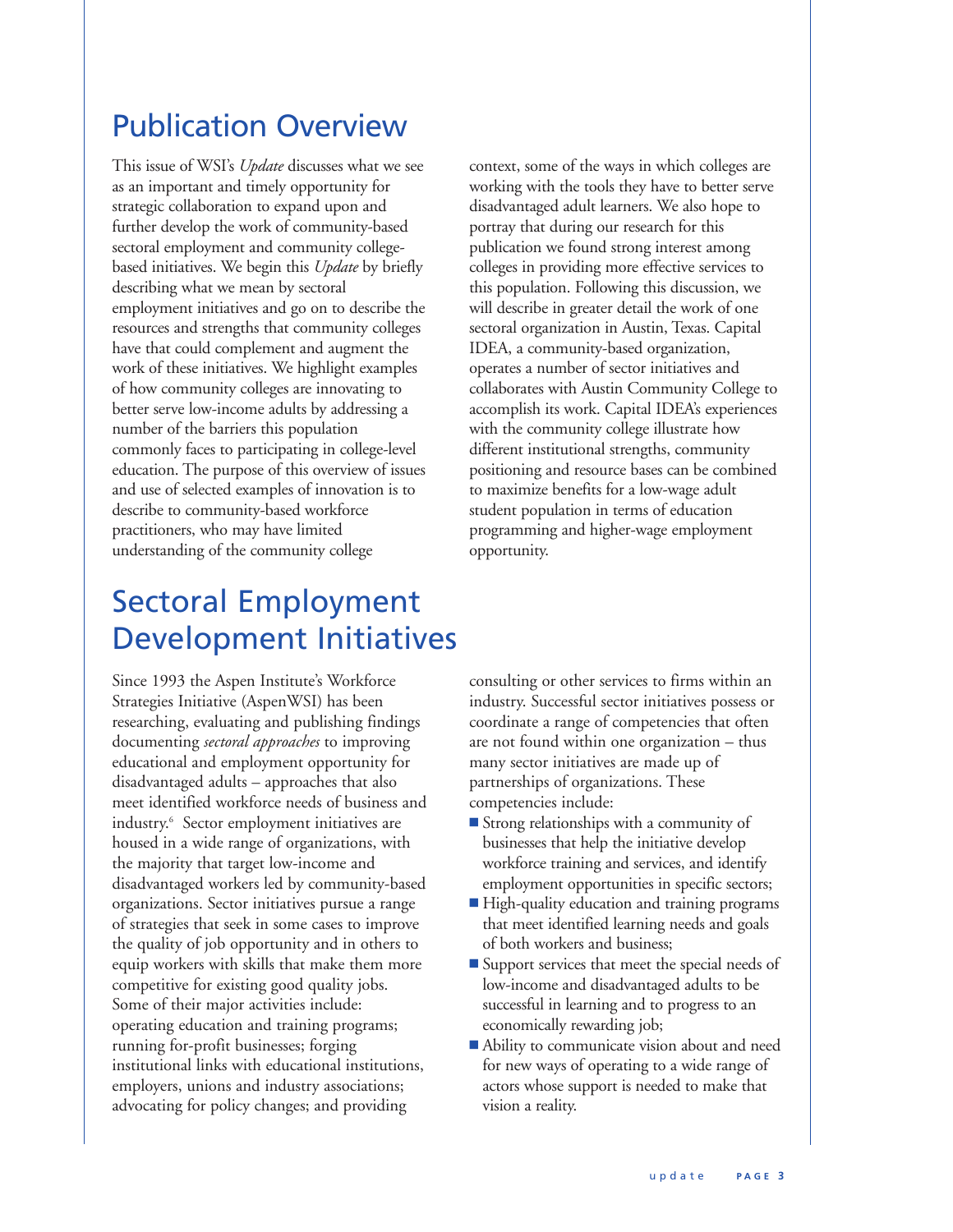## Publication Overview

This issue of WSI's *Update* discusses what we see as an important and timely opportunity for strategic collaboration to expand upon and further develop the work of community-based sectoral employment and community collegebased initiatives. We begin this *Update* by briefly describing what we mean by sectoral employment initiatives and go on to describe the resources and strengths that community colleges have that could complement and augment the work of these initiatives. We highlight examples of how community colleges are innovating to better serve low-income adults by addressing a number of the barriers this population commonly faces to participating in college-level education. The purpose of this overview of issues and use of selected examples of innovation is to describe to community-based workforce practitioners, who may have limited understanding of the community college

context, some of the ways in which colleges are working with the tools they have to better serve disadvantaged adult learners. We also hope to portray that during our research for this publication we found strong interest among colleges in providing more effective services to this population. Following this discussion, we will describe in greater detail the work of one sectoral organization in Austin, Texas. Capital IDEA, a community-based organization, operates a number of sector initiatives and collaborates with Austin Community College to accomplish its work. Capital IDEA's experiences with the community college illustrate how different institutional strengths, community positioning and resource bases can be combined to maximize benefits for a low-wage adult student population in terms of education programming and higher-wage employment opportunity.

## Sectoral Employment Development Initiatives

Since 1993 the Aspen Institute's Workforce Strategies Initiative (AspenWSI) has been researching, evaluating and publishing findings documenting *sectoral approaches* to improving educational and employment opportunity for disadvantaged adults – approaches that also meet identified workforce needs of business and industry.6 Sector employment initiatives are housed in a wide range of organizations, with the majority that target low-income and disadvantaged workers led by community-based organizations. Sector initiatives pursue a range of strategies that seek in some cases to improve the quality of job opportunity and in others to equip workers with skills that make them more competitive for existing good quality jobs. Some of their major activities include: operating education and training programs; running for-profit businesses; forging institutional links with educational institutions, employers, unions and industry associations; advocating for policy changes; and providing

consulting or other services to firms within an industry. Successful sector initiatives possess or coordinate a range of competencies that often are not found within one organization – thus many sector initiatives are made up of partnerships of organizations. These competencies include:

- **n** Strong relationships with a community of businesses that help the initiative develop workforce training and services, and identify employment opportunities in specific sectors;
- High-quality education and training programs that meet identified learning needs and goals of both workers and business;
- **n** Support services that meet the special needs of low-income and disadvantaged adults to be successful in learning and to progress to an economically rewarding job;
- Ability to communicate vision about and need for new ways of operating to a wide range of actors whose support is needed to make that vision a reality.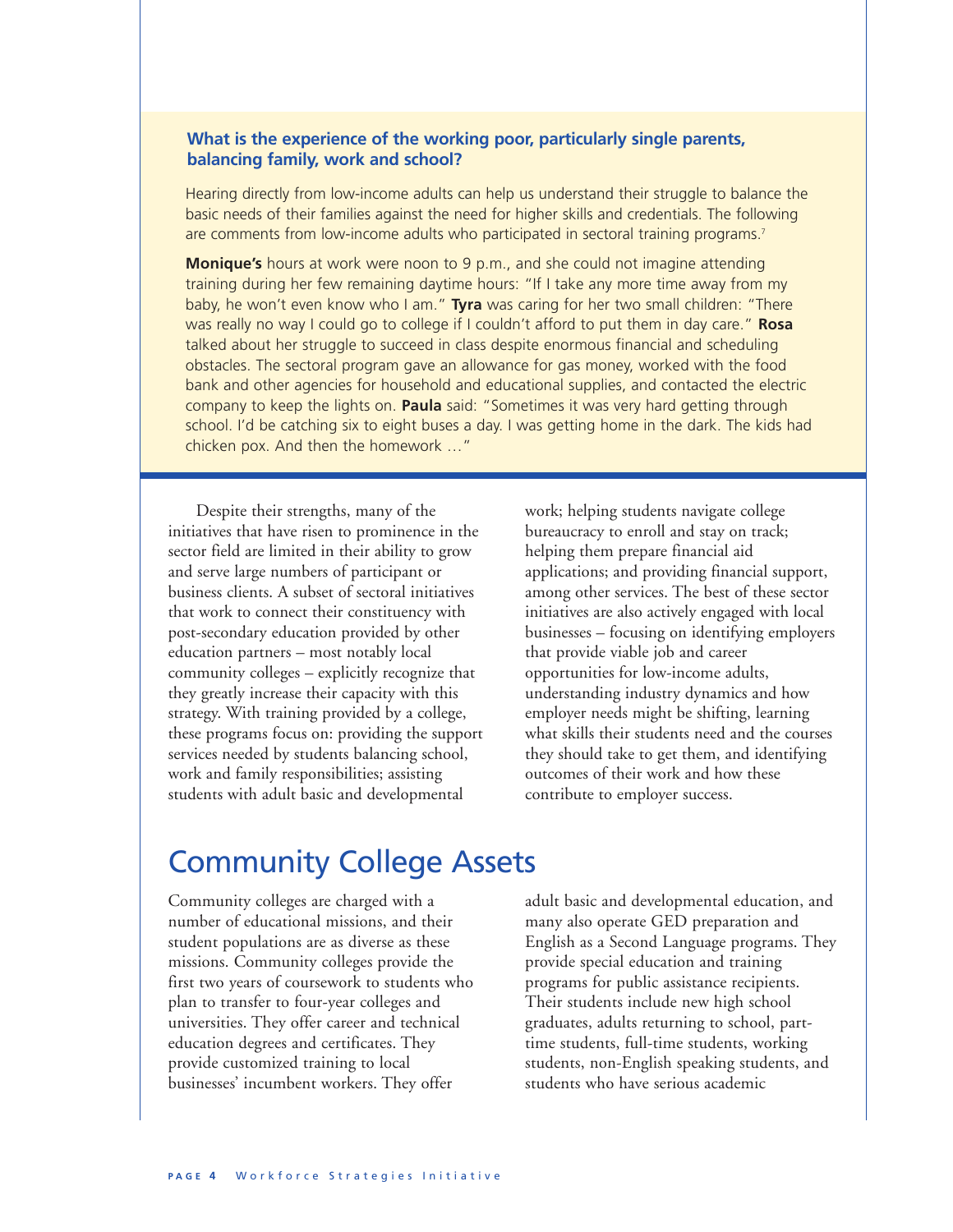### **What is the experience of the working poor, particularly single parents, balancing family, work and school?**

Hearing directly from low-income adults can help us understand their struggle to balance the basic needs of their families against the need for higher skills and credentials. The following are comments from low-income adults who participated in sectoral training programs.7

**Monique's** hours at work were noon to 9 p.m., and she could not imagine attending training during her few remaining daytime hours: "If I take any more time away from my baby, he won't even know who I am." **Tyra** was caring for her two small children: "There was really no way I could go to college if I couldn't afford to put them in day care." **Rosa** talked about her struggle to succeed in class despite enormous financial and scheduling obstacles. The sectoral program gave an allowance for gas money, worked with the food bank and other agencies for household and educational supplies, and contacted the electric company to keep the lights on. **Paula** said: "Sometimes it was very hard getting through school. I'd be catching six to eight buses a day. I was getting home in the dark. The kids had chicken pox. And then the homework …"

Despite their strengths, many of the initiatives that have risen to prominence in the sector field are limited in their ability to grow and serve large numbers of participant or business clients. A subset of sectoral initiatives that work to connect their constituency with post-secondary education provided by other education partners – most notably local community colleges – explicitly recognize that they greatly increase their capacity with this strategy. With training provided by a college, these programs focus on: providing the support services needed by students balancing school, work and family responsibilities; assisting students with adult basic and developmental

work; helping students navigate college bureaucracy to enroll and stay on track; helping them prepare financial aid applications; and providing financial support, among other services. The best of these sector initiatives are also actively engaged with local businesses – focusing on identifying employers that provide viable job and career opportunities for low-income adults, understanding industry dynamics and how employer needs might be shifting, learning what skills their students need and the courses they should take to get them, and identifying outcomes of their work and how these contribute to employer success.

### Community College Assets

Community colleges are charged with a number of educational missions, and their student populations are as diverse as these missions. Community colleges provide the first two years of coursework to students who plan to transfer to four-year colleges and universities. They offer career and technical education degrees and certificates. They provide customized training to local businesses' incumbent workers. They offer

adult basic and developmental education, and many also operate GED preparation and English as a Second Language programs. They provide special education and training programs for public assistance recipients. Their students include new high school graduates, adults returning to school, parttime students, full-time students, working students, non-English speaking students, and students who have serious academic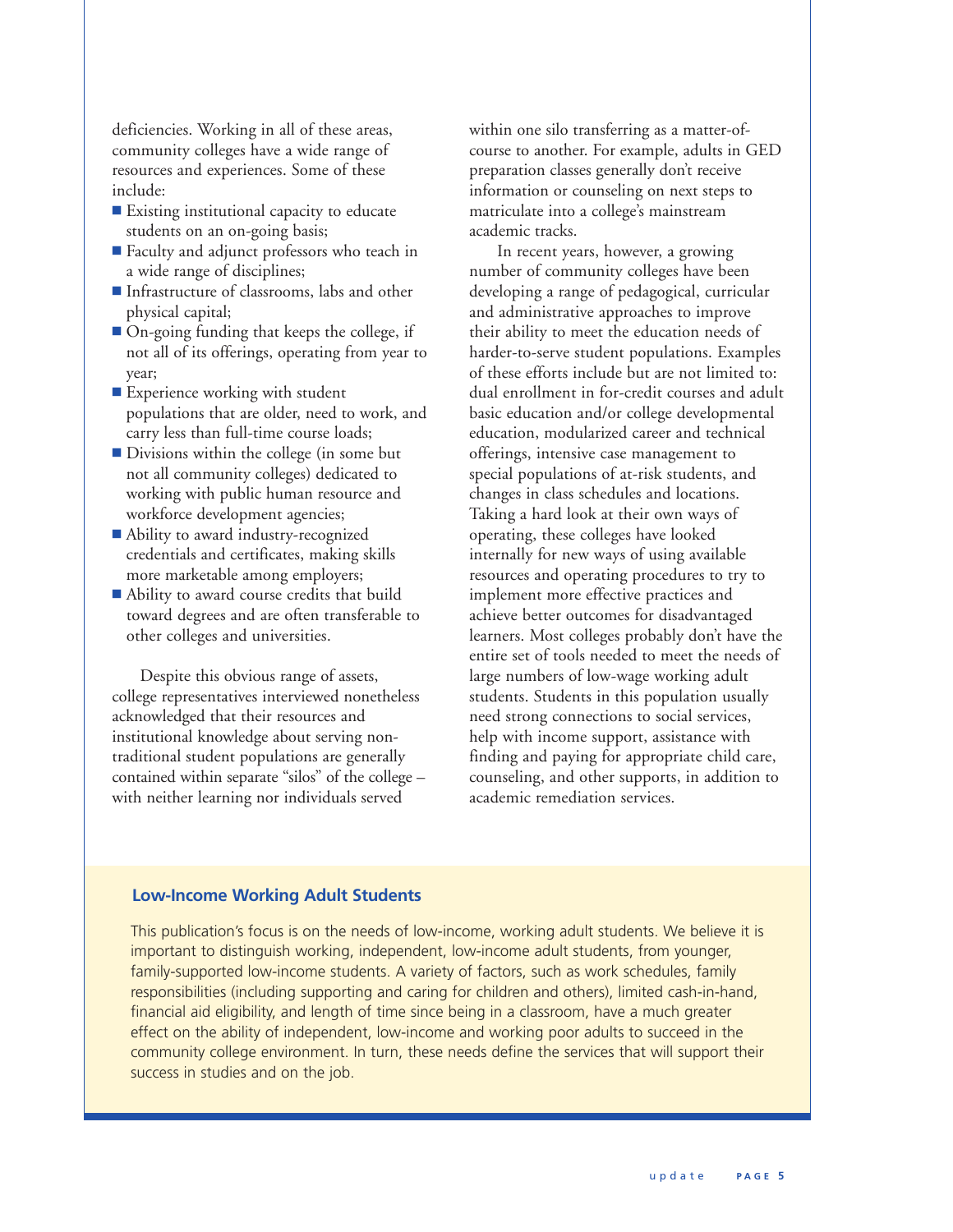deficiencies. Working in all of these areas, community colleges have a wide range of resources and experiences. Some of these include:

- Existing institutional capacity to educate students on an on-going basis;
- Faculty and adjunct professors who teach in a wide range of disciplines;
- Infrastructure of classrooms, labs and other physical capital;
- On-going funding that keeps the college, if not all of its offerings, operating from year to year;
- **Experience working with student** populations that are older, need to work, and carry less than full-time course loads;
- Divisions within the college (in some but not all community colleges) dedicated to working with public human resource and workforce development agencies;
- Ability to award industry-recognized credentials and certificates, making skills more marketable among employers;
- Ability to award course credits that build toward degrees and are often transferable to other colleges and universities.

Despite this obvious range of assets, college representatives interviewed nonetheless acknowledged that their resources and institutional knowledge about serving nontraditional student populations are generally contained within separate "silos" of the college – with neither learning nor individuals served

within one silo transferring as a matter-ofcourse to another. For example, adults in GED preparation classes generally don't receive information or counseling on next steps to matriculate into a college's mainstream academic tracks.

In recent years, however, a growing number of community colleges have been developing a range of pedagogical, curricular and administrative approaches to improve their ability to meet the education needs of harder-to-serve student populations. Examples of these efforts include but are not limited to: dual enrollment in for-credit courses and adult basic education and/or college developmental education, modularized career and technical offerings, intensive case management to special populations of at-risk students, and changes in class schedules and locations. Taking a hard look at their own ways of operating, these colleges have looked internally for new ways of using available resources and operating procedures to try to implement more effective practices and achieve better outcomes for disadvantaged learners. Most colleges probably don't have the entire set of tools needed to meet the needs of large numbers of low-wage working adult students. Students in this population usually need strong connections to social services, help with income support, assistance with finding and paying for appropriate child care, counseling, and other supports, in addition to academic remediation services.

### **Low-Income Working Adult Students**

This publication's focus is on the needs of low-income, working adult students. We believe it is important to distinguish working, independent, low-income adult students, from younger, family-supported low-income students. A variety of factors, such as work schedules, family responsibilities (including supporting and caring for children and others), limited cash-in-hand, financial aid eligibility, and length of time since being in a classroom, have a much greater effect on the ability of independent, low-income and working poor adults to succeed in the community college environment. In turn, these needs define the services that will support their success in studies and on the job.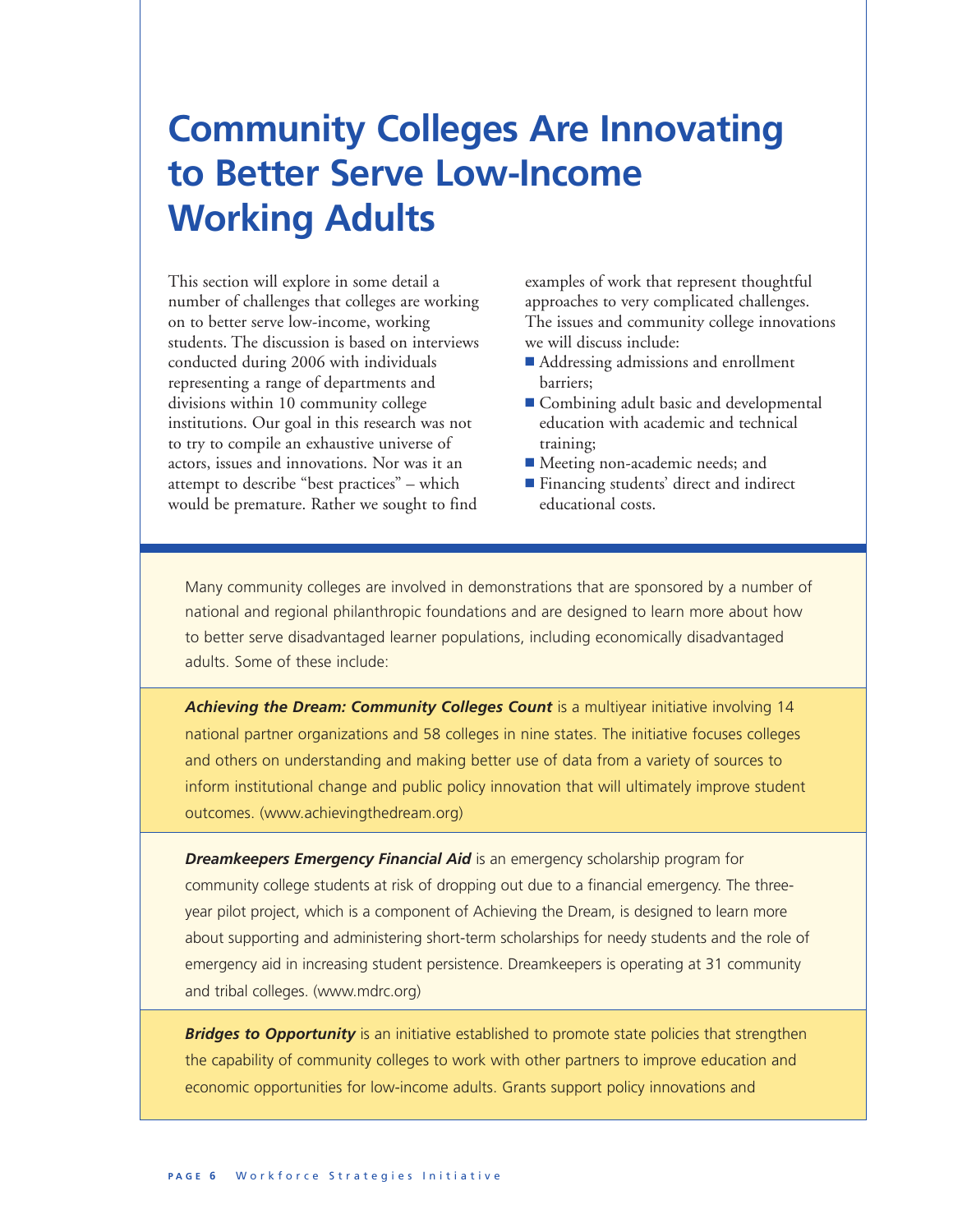# **Community Colleges Are Innovating to Better Serve Low-Income Working Adults**

This section will explore in some detail a number of challenges that colleges are working on to better serve low-income, working students. The discussion is based on interviews conducted during 2006 with individuals representing a range of departments and divisions within 10 community college institutions. Our goal in this research was not to try to compile an exhaustive universe of actors, issues and innovations. Nor was it an attempt to describe "best practices" – which would be premature. Rather we sought to find

examples of work that represent thoughtful approaches to very complicated challenges. The issues and community college innovations we will discuss include:

- Addressing admissions and enrollment barriers;
- Combining adult basic and developmental education with academic and technical training;
- Meeting non-academic needs; and
- Financing students' direct and indirect educational costs.

Many community colleges are involved in demonstrations that are sponsored by a number of national and regional philanthropic foundations and are designed to learn more about how to better serve disadvantaged learner populations, including economically disadvantaged adults. Some of these include:

*Achieving the Dream: Community Colleges Count* is a multiyear initiative involving 14 national partner organizations and 58 colleges in nine states. The initiative focuses colleges and others on understanding and making better use of data from a variety of sources to inform institutional change and public policy innovation that will ultimately improve student outcomes. (www.achievingthedream.org)

**Dreamkeepers Emergency Financial Aid** is an emergency scholarship program for community college students at risk of dropping out due to a financial emergency. The threeyear pilot project, which is a component of Achieving the Dream, is designed to learn more about supporting and administering short-term scholarships for needy students and the role of emergency aid in increasing student persistence. Dreamkeepers is operating at 31 community and tribal colleges. (www.mdrc.org)

**Bridges to Opportunity** is an initiative established to promote state policies that strengthen the capability of community colleges to work with other partners to improve education and economic opportunities for low-income adults. Grants support policy innovations and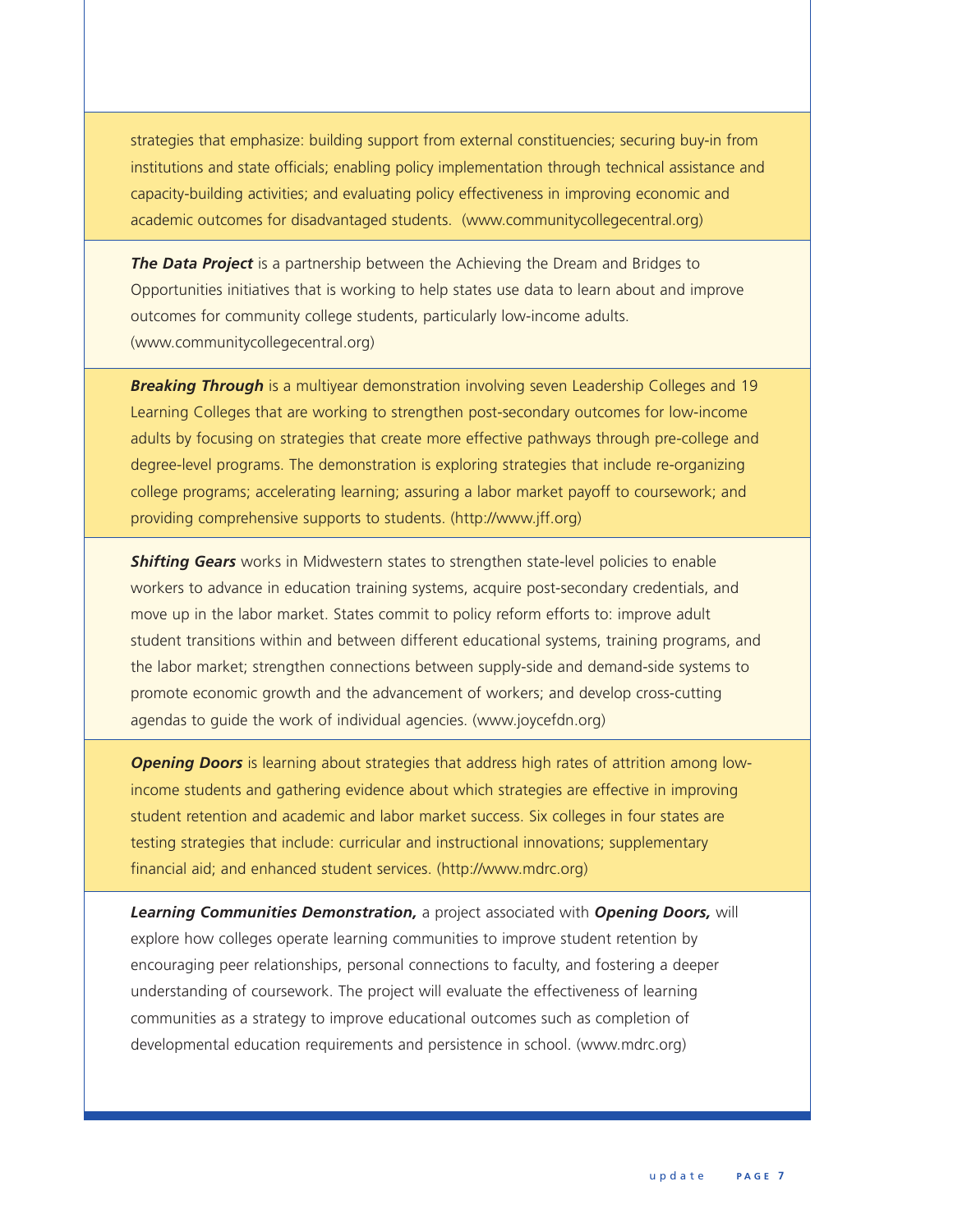strategies that emphasize: building support from external constituencies; securing buy-in from institutions and state officials; enabling policy implementation through technical assistance and capacity-building activities; and evaluating policy effectiveness in improving economic and academic outcomes for disadvantaged students. (www.communitycollegecentral.org)

**The Data Project** is a partnership between the Achieving the Dream and Bridges to Opportunities initiatives that is working to help states use data to learn about and improve outcomes for community college students, particularly low-income adults. (www.communitycollegecentral.org)

*Breaking Through* is a multiyear demonstration involving seven Leadership Colleges and 19 Learning Colleges that are working to strengthen post-secondary outcomes for low-income adults by focusing on strategies that create more effective pathways through pre-college and degree-level programs. The demonstration is exploring strategies that include re-organizing college programs; accelerating learning; assuring a labor market payoff to coursework; and providing comprehensive supports to students. (http://www.jff.org)

*Shifting Gears* works in Midwestern states to strengthen state-level policies to enable workers to advance in education training systems, acquire post-secondary credentials, and move up in the labor market. States commit to policy reform efforts to: improve adult student transitions within and between different educational systems, training programs, and the labor market; strengthen connections between supply-side and demand-side systems to promote economic growth and the advancement of workers; and develop cross-cutting agendas to guide the work of individual agencies. (www.joycefdn.org)

*Opening Doors* is learning about strategies that address high rates of attrition among lowincome students and gathering evidence about which strategies are effective in improving student retention and academic and labor market success. Six colleges in four states are testing strategies that include: curricular and instructional innovations; supplementary financial aid; and enhanced student services. (http://www.mdrc.org)

*Learning Communities Demonstration,* a project associated with *Opening Doors,* will explore how colleges operate learning communities to improve student retention by encouraging peer relationships, personal connections to faculty, and fostering a deeper understanding of coursework. The project will evaluate the effectiveness of learning communities as a strategy to improve educational outcomes such as completion of developmental education requirements and persistence in school. (www.mdrc.org)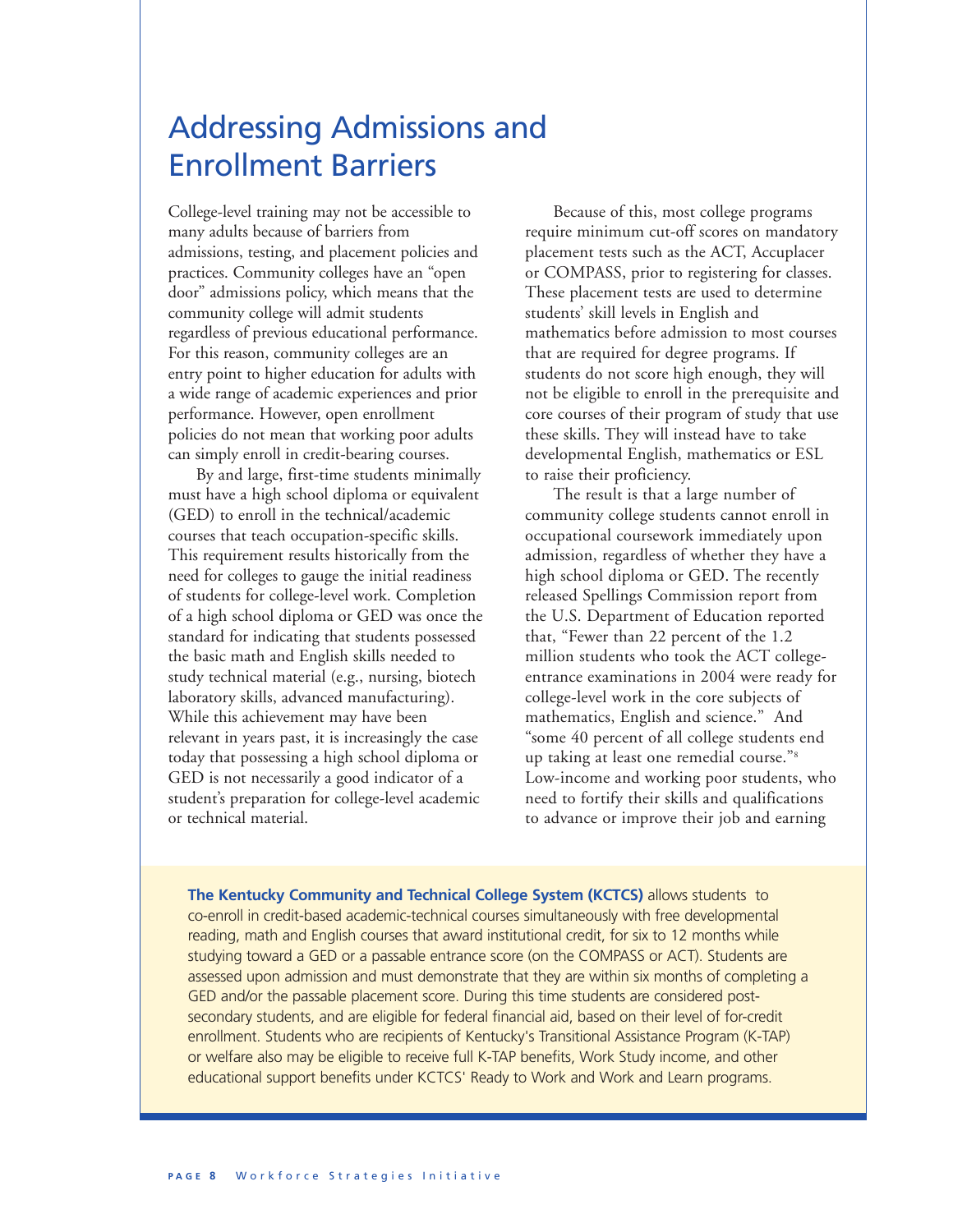## Addressing Admissions and Enrollment Barriers

College-level training may not be accessible to many adults because of barriers from admissions, testing, and placement policies and practices. Community colleges have an "open door" admissions policy, which means that the community college will admit students regardless of previous educational performance. For this reason, community colleges are an entry point to higher education for adults with a wide range of academic experiences and prior performance. However, open enrollment policies do not mean that working poor adults can simply enroll in credit-bearing courses.

By and large, first-time students minimally must have a high school diploma or equivalent (GED) to enroll in the technical/academic courses that teach occupation-specific skills. This requirement results historically from the need for colleges to gauge the initial readiness of students for college-level work. Completion of a high school diploma or GED was once the standard for indicating that students possessed the basic math and English skills needed to study technical material (e.g., nursing, biotech laboratory skills, advanced manufacturing). While this achievement may have been relevant in years past, it is increasingly the case today that possessing a high school diploma or GED is not necessarily a good indicator of a student's preparation for college-level academic or technical material.

Because of this, most college programs require minimum cut-off scores on mandatory placement tests such as the ACT, Accuplacer or COMPASS, prior to registering for classes. These placement tests are used to determine students' skill levels in English and mathematics before admission to most courses that are required for degree programs. If students do not score high enough, they will not be eligible to enroll in the prerequisite and core courses of their program of study that use these skills. They will instead have to take developmental English, mathematics or ESL to raise their proficiency.

The result is that a large number of community college students cannot enroll in occupational coursework immediately upon admission, regardless of whether they have a high school diploma or GED. The recently released Spellings Commission report from the U.S. Department of Education reported that, "Fewer than 22 percent of the 1.2 million students who took the ACT collegeentrance examinations in 2004 were ready for college-level work in the core subjects of mathematics, English and science." And "some 40 percent of all college students end up taking at least one remedial course."8 Low-income and working poor students, who need to fortify their skills and qualifications to advance or improve their job and earning

**The Kentucky Community and Technical College System (KCTCS)** allows students to co-enroll in credit-based academic-technical courses simultaneously with free developmental reading, math and English courses that award institutional credit, for six to 12 months while studying toward a GED or a passable entrance score (on the COMPASS or ACT). Students are assessed upon admission and must demonstrate that they are within six months of completing a GED and/or the passable placement score. During this time students are considered postsecondary students, and are eligible for federal financial aid, based on their level of for-credit enrollment. Students who are recipients of Kentucky's Transitional Assistance Program (K-TAP) or welfare also may be eligible to receive full K-TAP benefits, Work Study income, and other educational support benefits under KCTCS' Ready to Work and Work and Learn programs.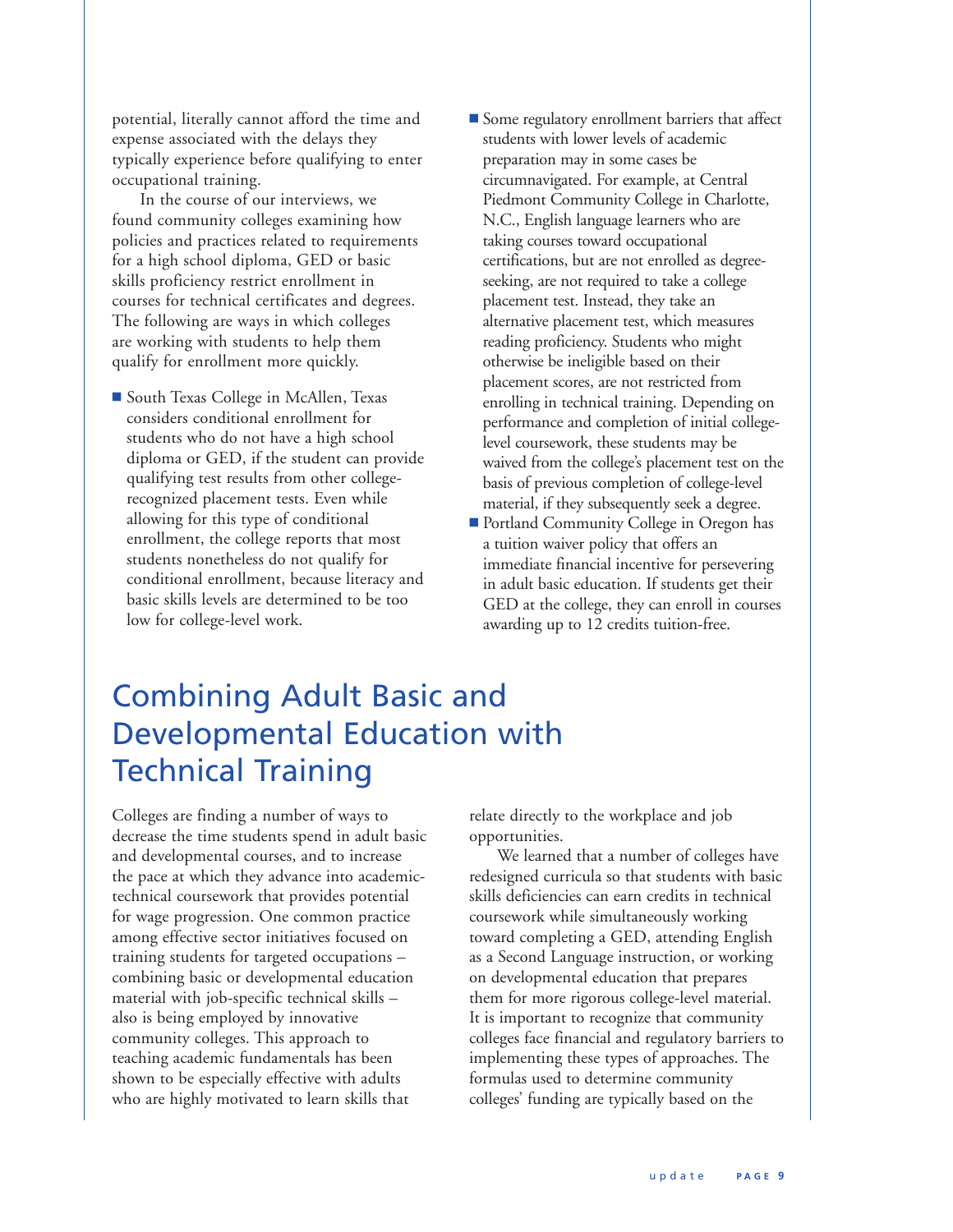potential, literally cannot afford the time and expense associated with the delays they typically experience before qualifying to enter occupational training.

In the course of our interviews, we found community colleges examining how policies and practices related to requirements for a high school diploma, GED or basic skills proficiency restrict enrollment in courses for technical certificates and degrees. The following are ways in which colleges are working with students to help them qualify for enrollment more quickly.

- South Texas College in McAllen, Texas considers conditional enrollment for students who do not have a high school diploma or GED, if the student can provide qualifying test results from other collegerecognized placement tests. Even while allowing for this type of conditional enrollment, the college reports that most students nonetheless do not qualify for conditional enrollment, because literacy and basic skills levels are determined to be too low for college-level work.
- **n** Some regulatory enrollment barriers that affect students with lower levels of academic preparation may in some cases be circumnavigated. For example, at Central Piedmont Community College in Charlotte, N.C., English language learners who are taking courses toward occupational certifications, but are not enrolled as degreeseeking, are not required to take a college placement test. Instead, they take an alternative placement test, which measures reading proficiency. Students who might otherwise be ineligible based on their placement scores, are not restricted from enrolling in technical training. Depending on performance and completion of initial collegelevel coursework, these students may be waived from the college's placement test on the basis of previous completion of college-level material, if they subsequently seek a degree.
- Portland Community College in Oregon has a tuition waiver policy that offers an immediate financial incentive for persevering in adult basic education. If students get their GED at the college, they can enroll in courses awarding up to 12 credits tuition-free.

## Combining Adult Basic and Developmental Education with Technical Training

Colleges are finding a number of ways to decrease the time students spend in adult basic and developmental courses, and to increase the pace at which they advance into academictechnical coursework that provides potential for wage progression. One common practice among effective sector initiatives focused on training students for targeted occupations – combining basic or developmental education material with job-specific technical skills – also is being employed by innovative community colleges. This approach to teaching academic fundamentals has been shown to be especially effective with adults who are highly motivated to learn skills that

relate directly to the workplace and job opportunities.

We learned that a number of colleges have redesigned curricula so that students with basic skills deficiencies can earn credits in technical coursework while simultaneously working toward completing a GED, attending English as a Second Language instruction, or working on developmental education that prepares them for more rigorous college-level material. It is important to recognize that community colleges face financial and regulatory barriers to implementing these types of approaches. The formulas used to determine community colleges' funding are typically based on the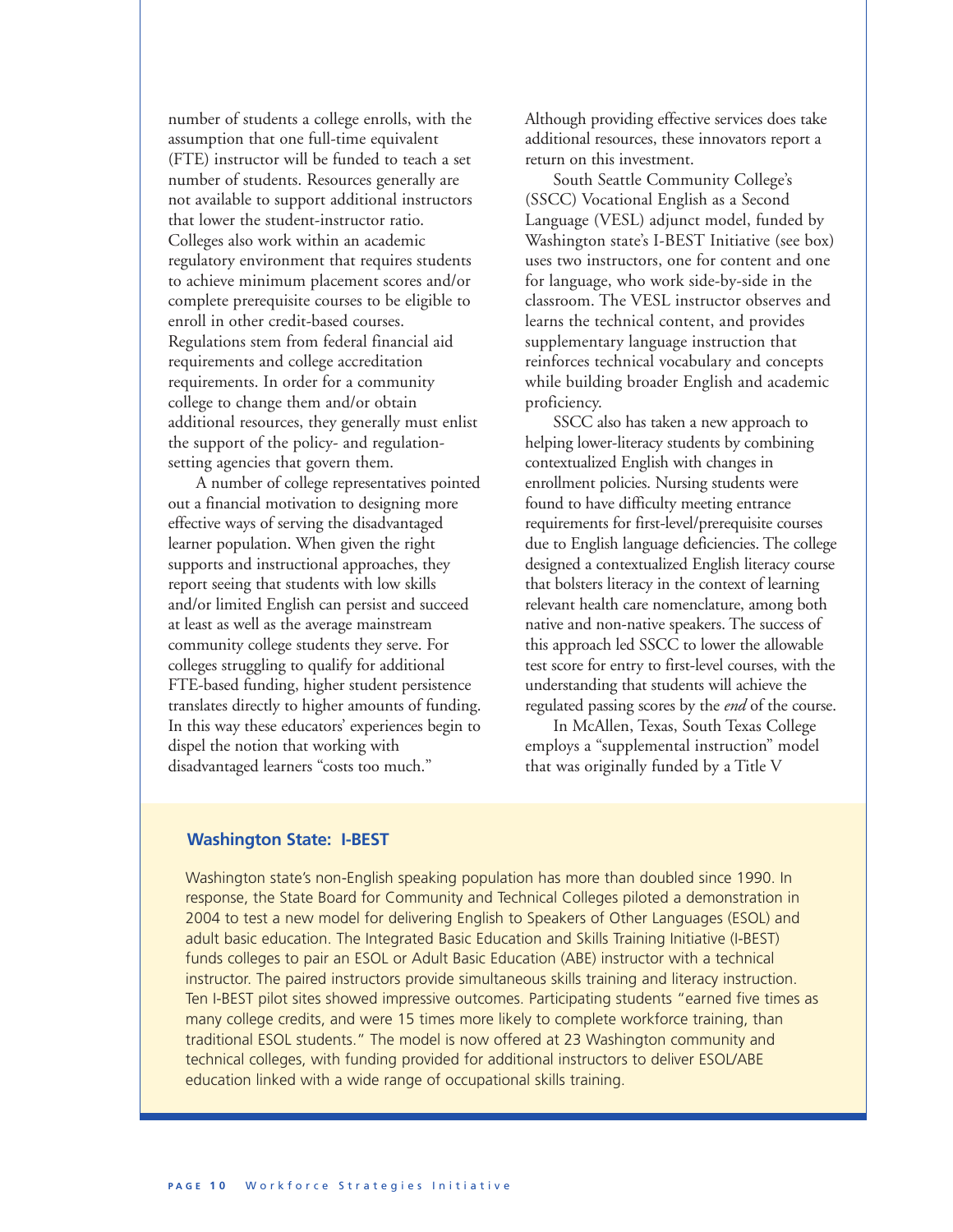number of students a college enrolls, with the assumption that one full-time equivalent (FTE) instructor will be funded to teach a set number of students. Resources generally are not available to support additional instructors that lower the student-instructor ratio. Colleges also work within an academic regulatory environment that requires students to achieve minimum placement scores and/or complete prerequisite courses to be eligible to enroll in other credit-based courses. Regulations stem from federal financial aid requirements and college accreditation requirements. In order for a community college to change them and/or obtain additional resources, they generally must enlist the support of the policy- and regulationsetting agencies that govern them.

A number of college representatives pointed out a financial motivation to designing more effective ways of serving the disadvantaged learner population. When given the right supports and instructional approaches, they report seeing that students with low skills and/or limited English can persist and succeed at least as well as the average mainstream community college students they serve. For colleges struggling to qualify for additional FTE-based funding, higher student persistence translates directly to higher amounts of funding. In this way these educators' experiences begin to dispel the notion that working with disadvantaged learners "costs too much."

Although providing effective services does take additional resources, these innovators report a return on this investment.

South Seattle Community College's (SSCC) Vocational English as a Second Language (VESL) adjunct model, funded by Washington state's I-BEST Initiative (see box) uses two instructors, one for content and one for language, who work side-by-side in the classroom. The VESL instructor observes and learns the technical content, and provides supplementary language instruction that reinforces technical vocabulary and concepts while building broader English and academic proficiency.

SSCC also has taken a new approach to helping lower-literacy students by combining contextualized English with changes in enrollment policies. Nursing students were found to have difficulty meeting entrance requirements for first-level/prerequisite courses due to English language deficiencies. The college designed a contextualized English literacy course that bolsters literacy in the context of learning relevant health care nomenclature, among both native and non-native speakers. The success of this approach led SSCC to lower the allowable test score for entry to first-level courses, with the understanding that students will achieve the regulated passing scores by the *end* of the course.

In McAllen, Texas, South Texas College employs a "supplemental instruction" model that was originally funded by a Title V

### **Washington State: I-BEST**

Washington state's non-English speaking population has more than doubled since 1990. In response, the State Board for Community and Technical Colleges piloted a demonstration in 2004 to test a new model for delivering English to Speakers of Other Languages (ESOL) and adult basic education. The Integrated Basic Education and Skills Training Initiative (I-BEST) funds colleges to pair an ESOL or Adult Basic Education (ABE) instructor with a technical instructor. The paired instructors provide simultaneous skills training and literacy instruction. Ten I-BEST pilot sites showed impressive outcomes. Participating students "earned five times as many college credits, and were 15 times more likely to complete workforce training, than traditional ESOL students." The model is now offered at 23 Washington community and technical colleges, with funding provided for additional instructors to deliver ESOL/ABE education linked with a wide range of occupational skills training.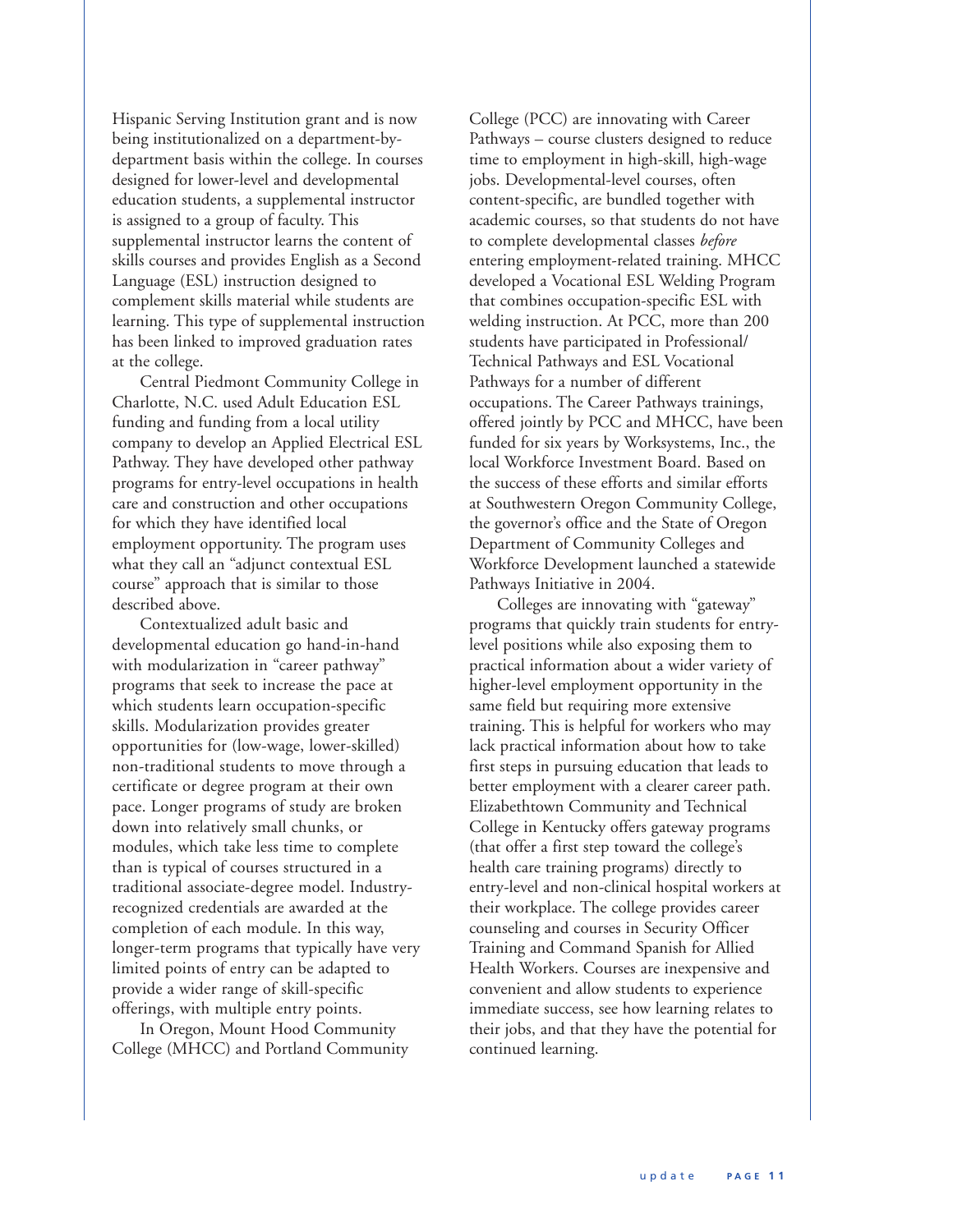Hispanic Serving Institution grant and is now being institutionalized on a department-bydepartment basis within the college. In courses designed for lower-level and developmental education students, a supplemental instructor is assigned to a group of faculty. This supplemental instructor learns the content of skills courses and provides English as a Second Language (ESL) instruction designed to complement skills material while students are learning. This type of supplemental instruction has been linked to improved graduation rates at the college.

Central Piedmont Community College in Charlotte, N.C. used Adult Education ESL funding and funding from a local utility company to develop an Applied Electrical ESL Pathway. They have developed other pathway programs for entry-level occupations in health care and construction and other occupations for which they have identified local employment opportunity. The program uses what they call an "adjunct contextual ESL course" approach that is similar to those described above.

Contextualized adult basic and developmental education go hand-in-hand with modularization in "career pathway" programs that seek to increase the pace at which students learn occupation-specific skills. Modularization provides greater opportunities for (low-wage, lower-skilled) non-traditional students to move through a certificate or degree program at their own pace. Longer programs of study are broken down into relatively small chunks, or modules, which take less time to complete than is typical of courses structured in a traditional associate-degree model. Industryrecognized credentials are awarded at the completion of each module. In this way, longer-term programs that typically have very limited points of entry can be adapted to provide a wider range of skill-specific offerings, with multiple entry points.

In Oregon, Mount Hood Community College (MHCC) and Portland Community

College (PCC) are innovating with Career Pathways – course clusters designed to reduce time to employment in high-skill, high-wage jobs. Developmental-level courses, often content-specific, are bundled together with academic courses, so that students do not have to complete developmental classes *before* entering employment-related training. MHCC developed a Vocational ESL Welding Program that combines occupation-specific ESL with welding instruction. At PCC, more than 200 students have participated in Professional/ Technical Pathways and ESL Vocational Pathways for a number of different occupations. The Career Pathways trainings, offered jointly by PCC and MHCC, have been funded for six years by Worksystems, Inc., the local Workforce Investment Board. Based on the success of these efforts and similar efforts at Southwestern Oregon Community College, the governor's office and the State of Oregon Department of Community Colleges and Workforce Development launched a statewide Pathways Initiative in 2004.

Colleges are innovating with "gateway" programs that quickly train students for entrylevel positions while also exposing them to practical information about a wider variety of higher-level employment opportunity in the same field but requiring more extensive training. This is helpful for workers who may lack practical information about how to take first steps in pursuing education that leads to better employment with a clearer career path. Elizabethtown Community and Technical College in Kentucky offers gateway programs (that offer a first step toward the college's health care training programs) directly to entry-level and non-clinical hospital workers at their workplace. The college provides career counseling and courses in Security Officer Training and Command Spanish for Allied Health Workers. Courses are inexpensive and convenient and allow students to experience immediate success, see how learning relates to their jobs, and that they have the potential for continued learning.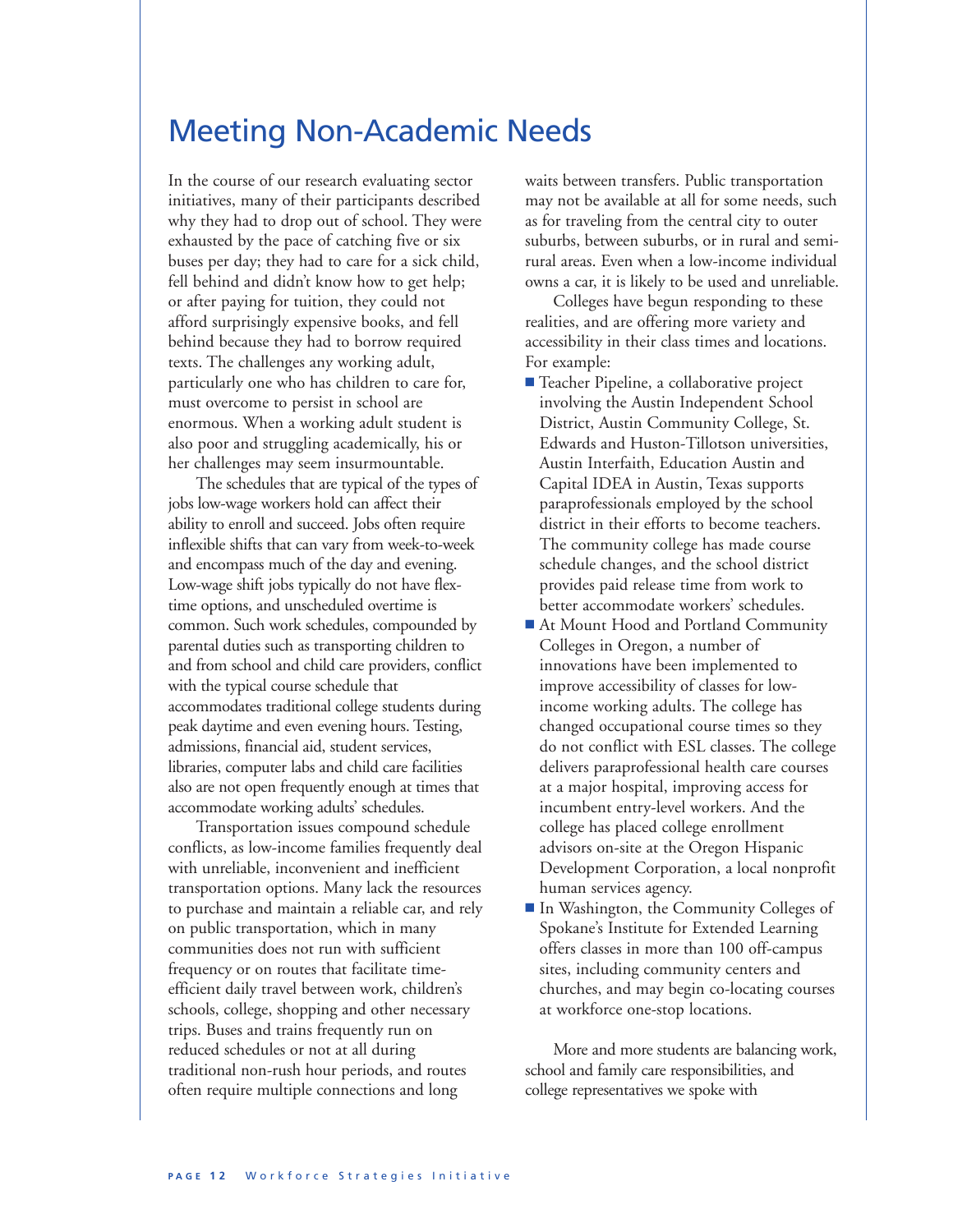### Meeting Non-Academic Needs

In the course of our research evaluating sector initiatives, many of their participants described why they had to drop out of school. They were exhausted by the pace of catching five or six buses per day; they had to care for a sick child, fell behind and didn't know how to get help; or after paying for tuition, they could not afford surprisingly expensive books, and fell behind because they had to borrow required texts. The challenges any working adult, particularly one who has children to care for, must overcome to persist in school are enormous. When a working adult student is also poor and struggling academically, his or her challenges may seem insurmountable.

The schedules that are typical of the types of jobs low-wage workers hold can affect their ability to enroll and succeed. Jobs often require inflexible shifts that can vary from week-to-week and encompass much of the day and evening. Low-wage shift jobs typically do not have flextime options, and unscheduled overtime is common. Such work schedules, compounded by parental duties such as transporting children to and from school and child care providers, conflict with the typical course schedule that accommodates traditional college students during peak daytime and even evening hours. Testing, admissions, financial aid, student services, libraries, computer labs and child care facilities also are not open frequently enough at times that accommodate working adults' schedules.

Transportation issues compound schedule conflicts, as low-income families frequently deal with unreliable, inconvenient and inefficient transportation options. Many lack the resources to purchase and maintain a reliable car, and rely on public transportation, which in many communities does not run with sufficient frequency or on routes that facilitate timeefficient daily travel between work, children's schools, college, shopping and other necessary trips. Buses and trains frequently run on reduced schedules or not at all during traditional non-rush hour periods, and routes often require multiple connections and long

waits between transfers. Public transportation may not be available at all for some needs, such as for traveling from the central city to outer suburbs, between suburbs, or in rural and semirural areas. Even when a low-income individual owns a car, it is likely to be used and unreliable.

Colleges have begun responding to these realities, and are offering more variety and accessibility in their class times and locations. For example:

- **n** Teacher Pipeline, a collaborative project involving the Austin Independent School District, Austin Community College, St. Edwards and Huston-Tillotson universities, Austin Interfaith, Education Austin and Capital IDEA in Austin, Texas supports paraprofessionals employed by the school district in their efforts to become teachers. The community college has made course schedule changes, and the school district provides paid release time from work to better accommodate workers' schedules.
- **n** At Mount Hood and Portland Community Colleges in Oregon, a number of innovations have been implemented to improve accessibility of classes for lowincome working adults. The college has changed occupational course times so they do not conflict with ESL classes. The college delivers paraprofessional health care courses at a major hospital, improving access for incumbent entry-level workers. And the college has placed college enrollment advisors on-site at the Oregon Hispanic Development Corporation, a local nonprofit human services agency.
- In Washington, the Community Colleges of Spokane's Institute for Extended Learning offers classes in more than 100 off-campus sites, including community centers and churches, and may begin co-locating courses at workforce one-stop locations.

More and more students are balancing work, school and family care responsibilities, and college representatives we spoke with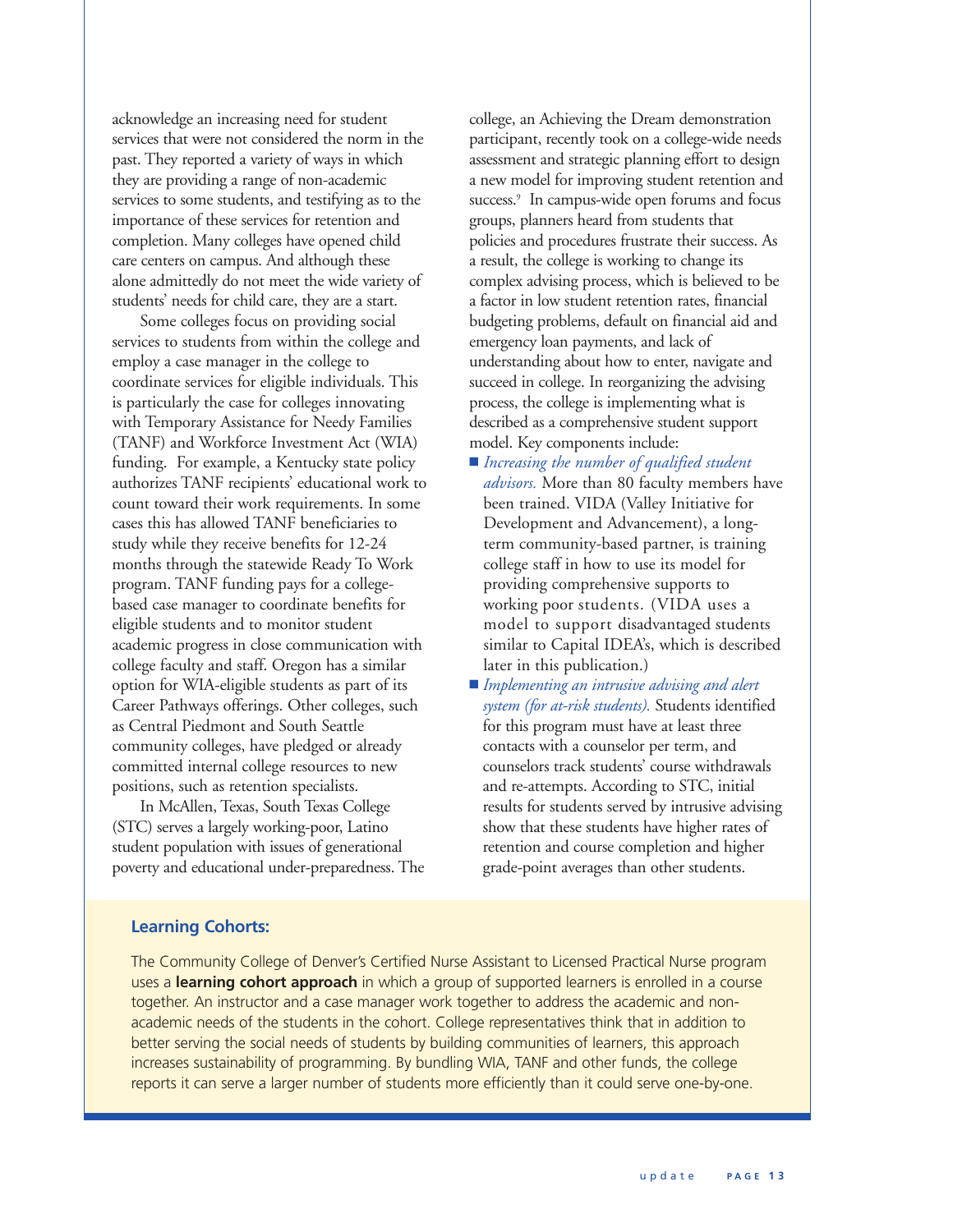acknowledge an increasing need for student services that were not considered the norm in the past. They reported a variety of ways in which they are providing a range of non-academic services to some students, and testifying as to the importance of these services for retention and completion. Many colleges have opened child care centers on campus. And although these alone admittedly do not meet the wide variety of students' needs for child care, they are a start.

Some colleges focus on providing social services to students from within the college and employ a case manager in the college to coordinate services for eligible individuals. This is particularly the case for colleges innovating with Temporary Assistance for Needy Families (TANF) and Workforce Investment Act (WIA) funding. For example, a Kentucky state policy authorizes TANF recipients' educational work to count toward their work requirements. In some cases this has allowed TANF beneficiaries to study while they receive benefits for 12-24 months through the statewide Ready To Work program. TANF funding pays for a collegebased case manager to coordinate benefits for eligible students and to monitor student academic progress in close communication with college faculty and staff. Oregon has a similar option for WIA-eligible students as part of its Career Pathways offerings. Other colleges, such as Central Piedmont and South Seattle community colleges, have pledged or already committed internal college resources to new positions, such as retention specialists.

In McAllen, Texas, South Texas College (STC) serves a largely working-poor, Latino student population with issues of generational poverty and educational under-preparedness. The college, an Achieving the Dream demonstration participant, recently took on a college-wide needs assessment and strategic planning effort to design a new model for improving student retention and success.<sup>9</sup> In campus-wide open forums and focus groups, planners heard from students that policies and procedures frustrate their success. As a result, the college is working to change its complex advising process, which is believed to be a factor in low student retention rates, financial budgeting problems, default on financial aid and emergency loan payments, and lack of understanding about how to enter, navigate and succeed in college. In reorganizing the advising process, the college is implementing what is described as a comprehensive student support model. Key components include:

- **n** *Increasing the number of qualified student advisors.* More than 80 faculty members have been trained. VIDA (Valley Initiative for Development and Advancement), a longterm community-based partner, is training college staff in how to use its model for providing comprehensive supports to working poor students. (VIDA uses a model to support disadvantaged students similar to Capital IDEA's, which is described later in this publication.)
- **n** *Implementing an intrusive advising and alert system (for at-risk students).* Students identified for this program must have at least three contacts with a counselor per term, and counselors track students' course withdrawals and re-attempts. According to STC, initial results for students served by intrusive advising show that these students have higher rates of retention and course completion and higher grade-point averages than other students.

### **Learning Cohorts:**

The Community College of Denver's Certified Nurse Assistant to Licensed Practical Nurse program uses a **learning cohort approach** in which a group of supported learners is enrolled in a course together. An instructor and a case manager work together to address the academic and nonacademic needs of the students in the cohort. College representatives think that in addition to better serving the social needs of students by building communities of learners, this approach increases sustainability of programming. By bundling WIA, TANF and other funds, the college reports it can serve a larger number of students more efficiently than it could serve one-by-one.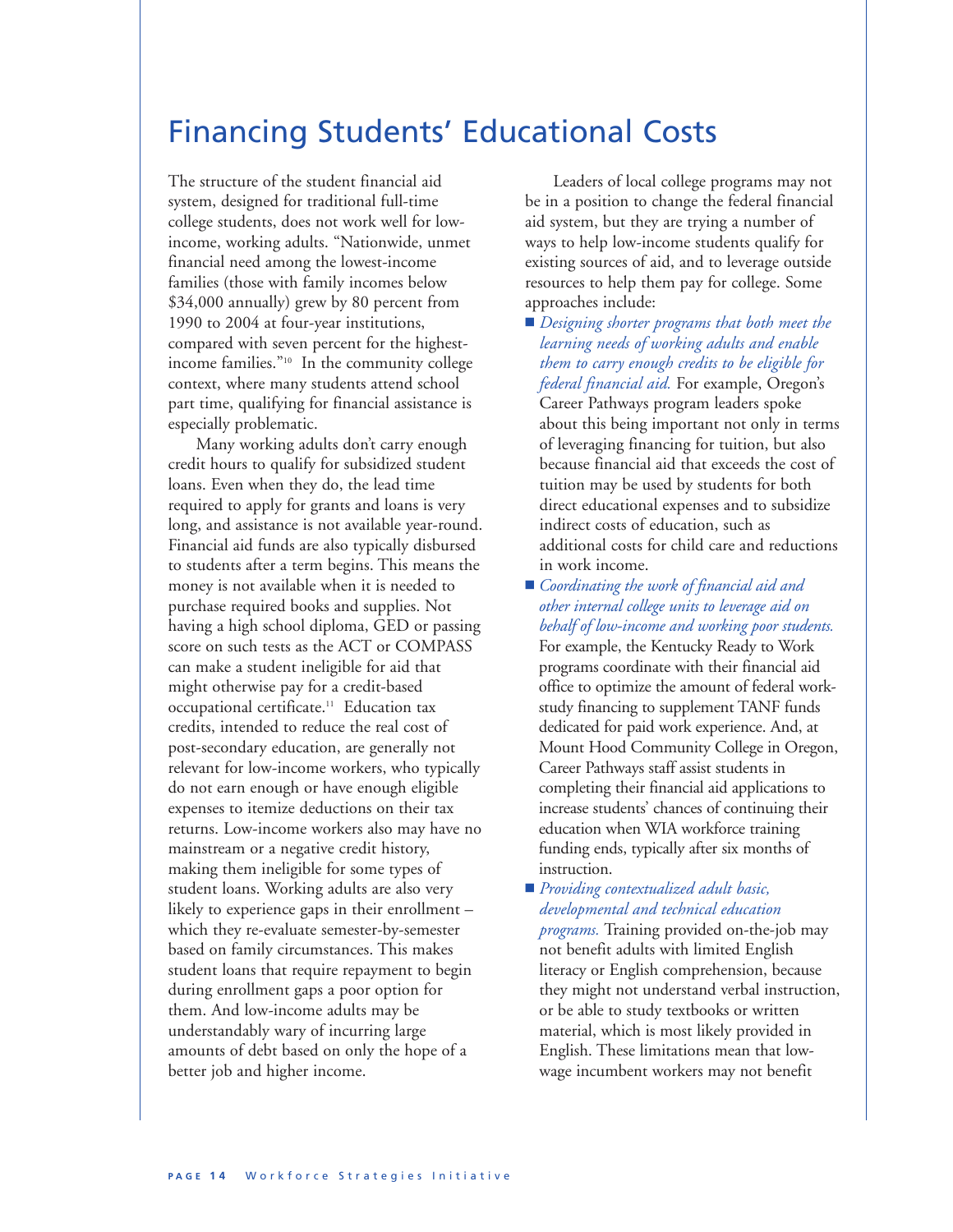## Financing Students' Educational Costs

The structure of the student financial aid system, designed for traditional full-time college students, does not work well for lowincome, working adults. "Nationwide, unmet financial need among the lowest-income families (those with family incomes below \$34,000 annually) grew by 80 percent from 1990 to 2004 at four-year institutions, compared with seven percent for the highestincome families."10 In the community college context, where many students attend school part time, qualifying for financial assistance is especially problematic.

Many working adults don't carry enough credit hours to qualify for subsidized student loans. Even when they do, the lead time required to apply for grants and loans is very long, and assistance is not available year-round. Financial aid funds are also typically disbursed to students after a term begins. This means the money is not available when it is needed to purchase required books and supplies. Not having a high school diploma, GED or passing score on such tests as the ACT or COMPASS can make a student ineligible for aid that might otherwise pay for a credit-based occupational certificate.<sup>11</sup> Education tax credits, intended to reduce the real cost of post-secondary education, are generally not relevant for low-income workers, who typically do not earn enough or have enough eligible expenses to itemize deductions on their tax returns. Low-income workers also may have no mainstream or a negative credit history, making them ineligible for some types of student loans. Working adults are also very likely to experience gaps in their enrollment – which they re-evaluate semester-by-semester based on family circumstances. This makes student loans that require repayment to begin during enrollment gaps a poor option for them. And low-income adults may be understandably wary of incurring large amounts of debt based on only the hope of a better job and higher income.

Leaders of local college programs may not be in a position to change the federal financial aid system, but they are trying a number of ways to help low-income students qualify for existing sources of aid, and to leverage outside resources to help them pay for college. Some approaches include:

- **n** *Designing shorter programs that both meet the learning needs of working adults and enable them to carry enough credits to be eligible for federal financial aid.* For example, Oregon's Career Pathways program leaders spoke about this being important not only in terms of leveraging financing for tuition, but also because financial aid that exceeds the cost of tuition may be used by students for both direct educational expenses and to subsidize indirect costs of education, such as additional costs for child care and reductions in work income.
- *Coordinating the work of financial aid and other internal college units to leverage aid on behalf of low-income and working poor students.* For example, the Kentucky Ready to Work programs coordinate with their financial aid office to optimize the amount of federal workstudy financing to supplement TANF funds dedicated for paid work experience. And, at Mount Hood Community College in Oregon, Career Pathways staff assist students in completing their financial aid applications to increase students' chances of continuing their education when WIA workforce training funding ends, typically after six months of instruction.
- **n** *Providing contextualized adult basic, developmental and technical education programs.* Training provided on-the-job may not benefit adults with limited English literacy or English comprehension, because they might not understand verbal instruction, or be able to study textbooks or written material, which is most likely provided in English. These limitations mean that lowwage incumbent workers may not benefit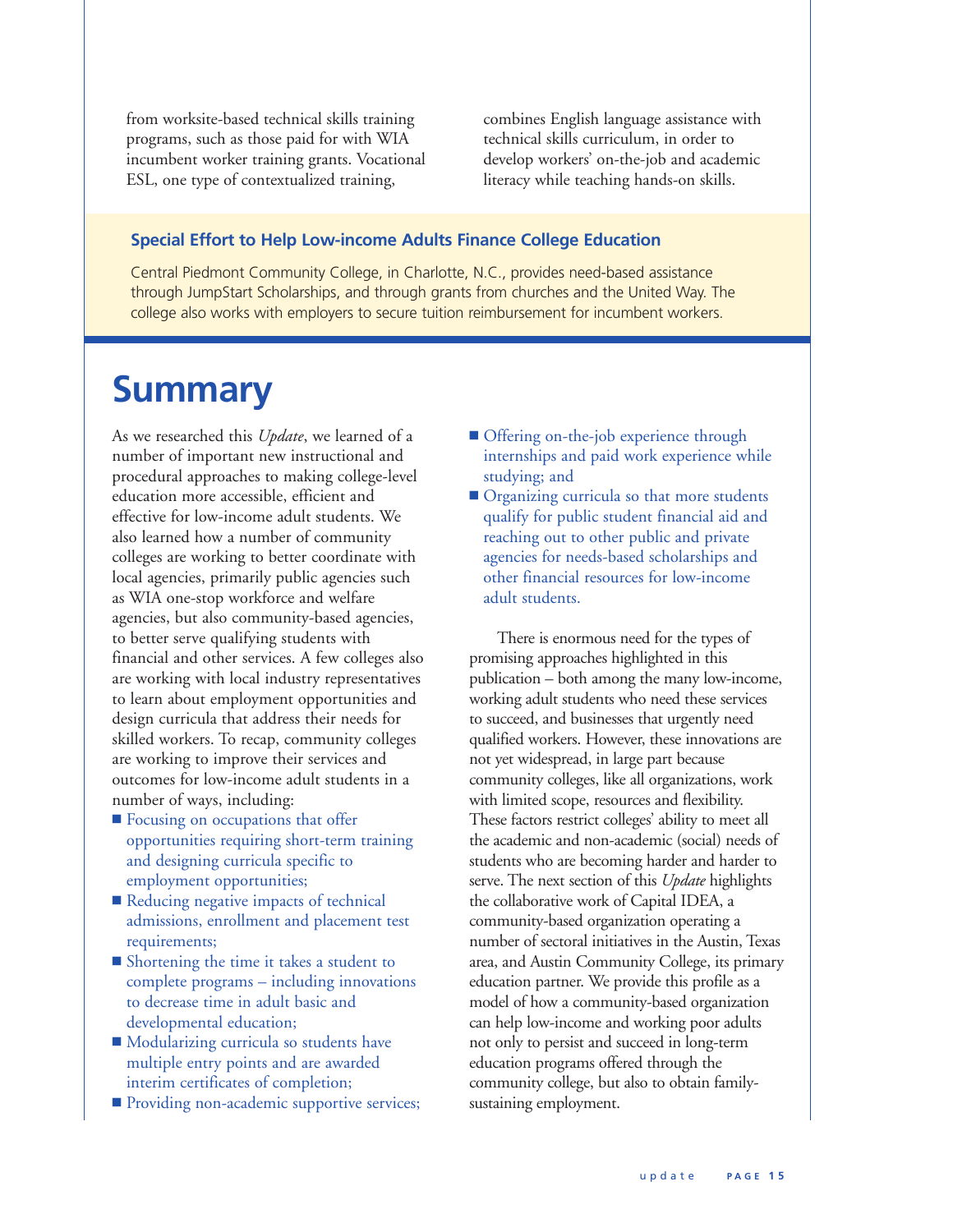from worksite-based technical skills training programs, such as those paid for with WIA incumbent worker training grants. Vocational ESL, one type of contextualized training,

combines English language assistance with technical skills curriculum, in order to develop workers' on-the-job and academic literacy while teaching hands-on skills.

### **Special Effort to Help Low-income Adults Finance College Education**

Central Piedmont Community College, in Charlotte, N.C., provides need-based assistance through JumpStart Scholarships, and through grants from churches and the United Way. The college also works with employers to secure tuition reimbursement for incumbent workers.

## **Summary**

As we researched this *Update*, we learned of a number of important new instructional and procedural approaches to making college-level education more accessible, efficient and effective for low-income adult students. We also learned how a number of community colleges are working to better coordinate with local agencies, primarily public agencies such as WIA one-stop workforce and welfare agencies, but also community-based agencies, to better serve qualifying students with financial and other services. A few colleges also are working with local industry representatives to learn about employment opportunities and design curricula that address their needs for skilled workers. To recap, community colleges are working to improve their services and outcomes for low-income adult students in a number of ways, including:

- Focusing on occupations that offer opportunities requiring short-term training and designing curricula specific to employment opportunities;
- Reducing negative impacts of technical admissions, enrollment and placement test requirements;
- Shortening the time it takes a student to complete programs – including innovations to decrease time in adult basic and developmental education;
- Modularizing curricula so students have multiple entry points and are awarded interim certificates of completion;
- **n** Providing non-academic supportive services;
- **n** Offering on-the-job experience through internships and paid work experience while studying; and
- **n** Organizing curricula so that more students qualify for public student financial aid and reaching out to other public and private agencies for needs-based scholarships and other financial resources for low-income adult students.

There is enormous need for the types of promising approaches highlighted in this publication – both among the many low-income, working adult students who need these services to succeed, and businesses that urgently need qualified workers. However, these innovations are not yet widespread, in large part because community colleges, like all organizations, work with limited scope, resources and flexibility. These factors restrict colleges' ability to meet all the academic and non-academic (social) needs of students who are becoming harder and harder to serve. The next section of this *Update* highlights the collaborative work of Capital IDEA, a community-based organization operating a number of sectoral initiatives in the Austin, Texas area, and Austin Community College, its primary education partner. We provide this profile as a model of how a community-based organization can help low-income and working poor adults not only to persist and succeed in long-term education programs offered through the community college, but also to obtain familysustaining employment.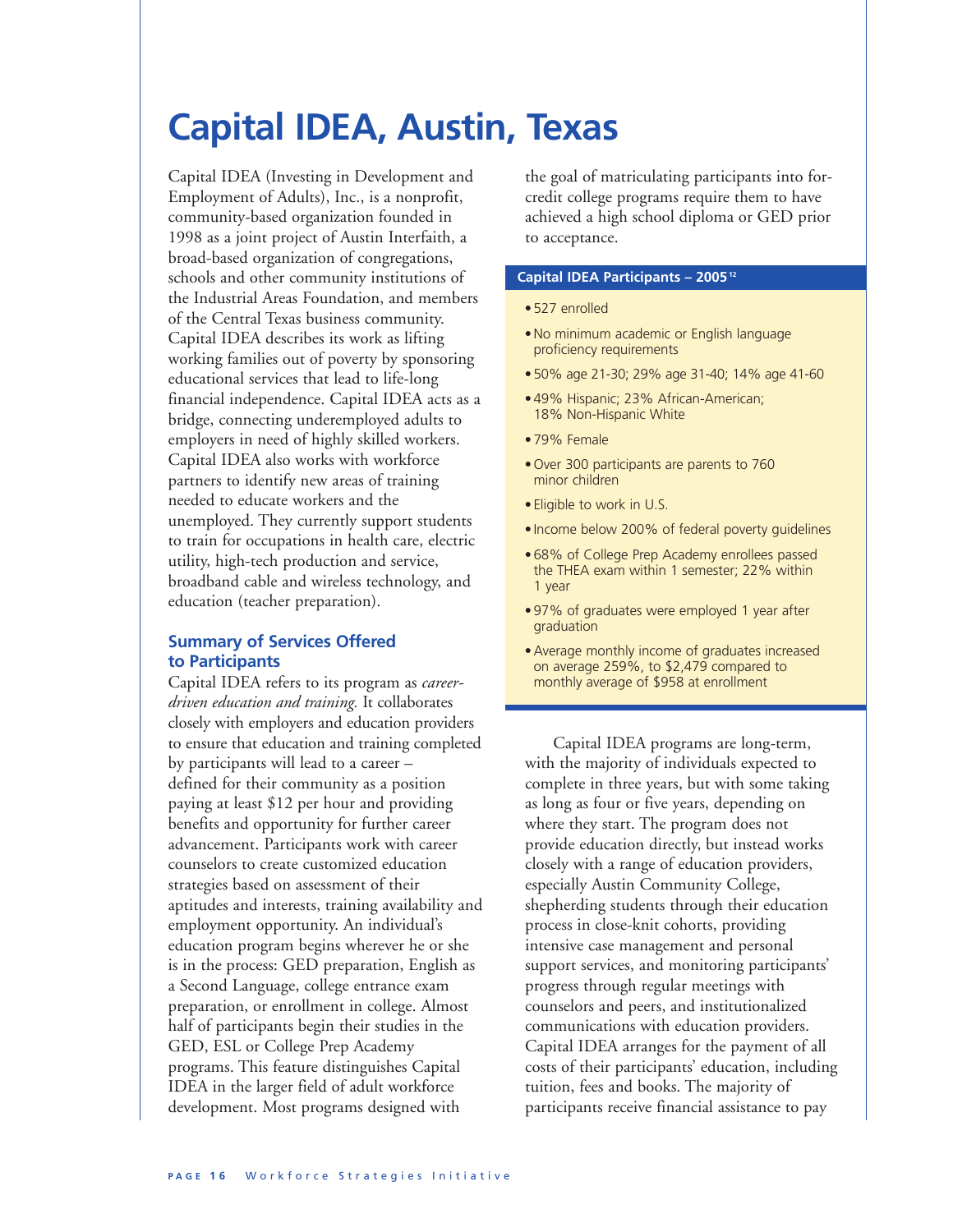# **Capital IDEA, Austin, Texas**

Capital IDEA (Investing in Development and Employment of Adults), Inc., is a nonprofit, community-based organization founded in 1998 as a joint project of Austin Interfaith, a broad-based organization of congregations, schools and other community institutions of the Industrial Areas Foundation, and members of the Central Texas business community. Capital IDEA describes its work as lifting working families out of poverty by sponsoring educational services that lead to life-long financial independence. Capital IDEA acts as a bridge, connecting underemployed adults to employers in need of highly skilled workers. Capital IDEA also works with workforce partners to identify new areas of training needed to educate workers and the unemployed. They currently support students to train for occupations in health care, electric utility, high-tech production and service, broadband cable and wireless technology, and education (teacher preparation).

### **Summary of Services Offered to Participants**

Capital IDEA refers to its program as *careerdriven education and training.* It collaborates closely with employers and education providers to ensure that education and training completed by participants will lead to a career – defined for their community as a position paying at least \$12 per hour and providing benefits and opportunity for further career advancement. Participants work with career counselors to create customized education strategies based on assessment of their aptitudes and interests, training availability and employment opportunity. An individual's education program begins wherever he or she is in the process: GED preparation, English as a Second Language, college entrance exam preparation, or enrollment in college. Almost half of participants begin their studies in the GED, ESL or College Prep Academy programs. This feature distinguishes Capital IDEA in the larger field of adult workforce development. Most programs designed with

the goal of matriculating participants into forcredit college programs require them to have achieved a high school diploma or GED prior to acceptance.

### **Capital IDEA Participants – 200512**

- •527 enrolled
- •No minimum academic or English language proficiency requirements
- •50% age 21-30; 29% age 31-40; 14% age 41-60
- •49% Hispanic; 23% African-American; 18% Non-Hispanic White
- •79% Female
- •Over 300 participants are parents to 760 minor children
- Eligible to work in U.S.
- Income below 200% of federal poverty guidelines
- •68% of College Prep Academy enrollees passed the THEA exam within 1 semester; 22% within 1 year
- •97% of graduates were employed 1 year after graduation
- •Average monthly income of graduates increased on average 259%, to \$2,479 compared to monthly average of \$958 at enrollment

Capital IDEA programs are long-term, with the majority of individuals expected to complete in three years, but with some taking as long as four or five years, depending on where they start. The program does not provide education directly, but instead works closely with a range of education providers, especially Austin Community College, shepherding students through their education process in close-knit cohorts, providing intensive case management and personal support services, and monitoring participants' progress through regular meetings with counselors and peers, and institutionalized communications with education providers. Capital IDEA arranges for the payment of all costs of their participants' education, including tuition, fees and books. The majority of participants receive financial assistance to pay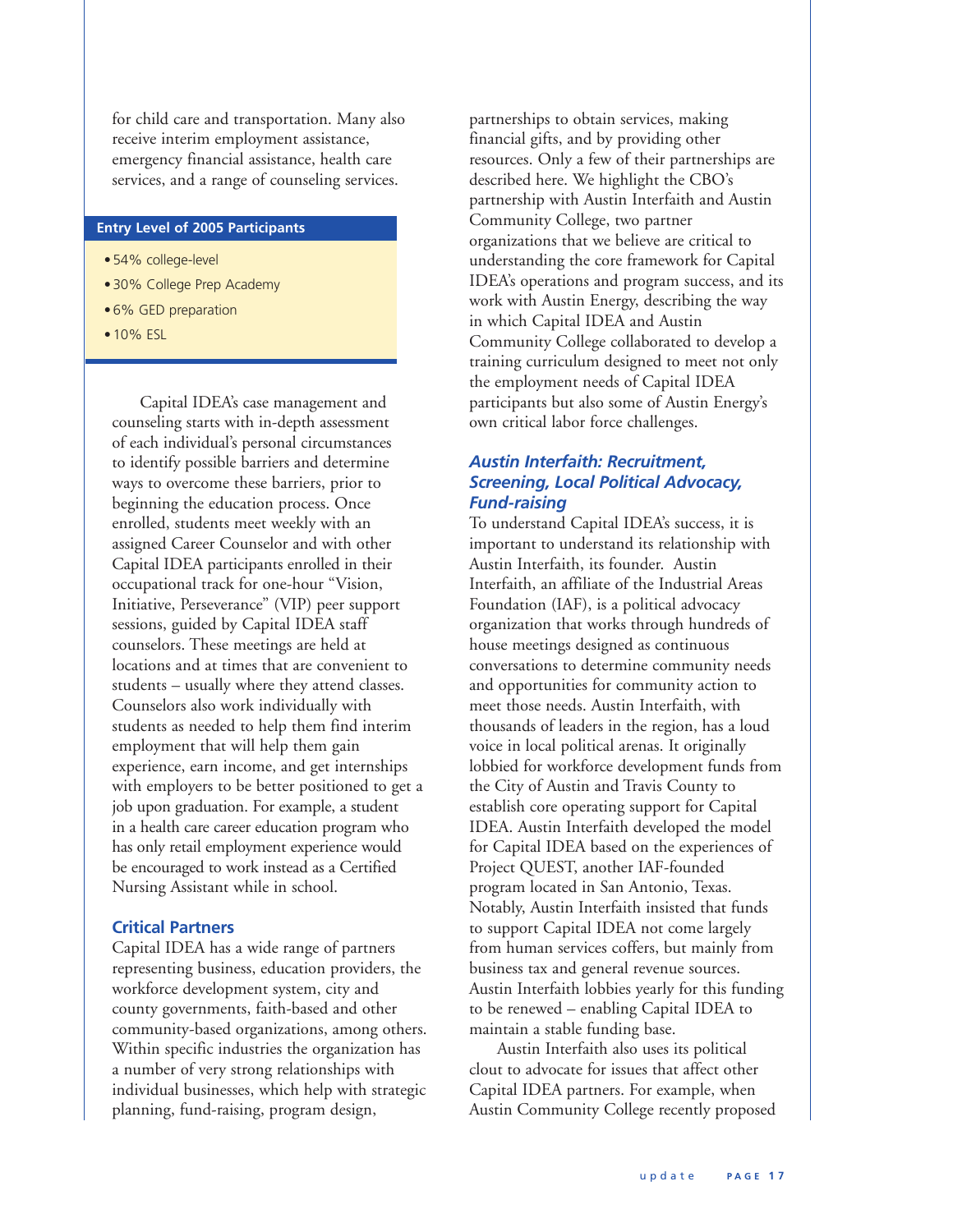for child care and transportation. Many also receive interim employment assistance, emergency financial assistance, health care services, and a range of counseling services.

#### **Entry Level of 2005 Participants**

- •54% college-level
- •30% College Prep Academy
- •6% GED preparation
- •10% ESL

Capital IDEA's case management and counseling starts with in-depth assessment of each individual's personal circumstances to identify possible barriers and determine ways to overcome these barriers, prior to beginning the education process. Once enrolled, students meet weekly with an assigned Career Counselor and with other Capital IDEA participants enrolled in their occupational track for one-hour "Vision, Initiative, Perseverance" (VIP) peer support sessions, guided by Capital IDEA staff counselors. These meetings are held at locations and at times that are convenient to students – usually where they attend classes. Counselors also work individually with students as needed to help them find interim employment that will help them gain experience, earn income, and get internships with employers to be better positioned to get a job upon graduation. For example, a student in a health care career education program who has only retail employment experience would be encouraged to work instead as a Certified Nursing Assistant while in school.

### **Critical Partners**

Capital IDEA has a wide range of partners representing business, education providers, the workforce development system, city and county governments, faith-based and other community-based organizations, among others. Within specific industries the organization has a number of very strong relationships with individual businesses, which help with strategic planning, fund-raising, program design,

partnerships to obtain services, making financial gifts, and by providing other resources. Only a few of their partnerships are described here. We highlight the CBO's partnership with Austin Interfaith and Austin Community College, two partner organizations that we believe are critical to understanding the core framework for Capital IDEA's operations and program success, and its work with Austin Energy, describing the way in which Capital IDEA and Austin Community College collaborated to develop a training curriculum designed to meet not only the employment needs of Capital IDEA participants but also some of Austin Energy's own critical labor force challenges.

### *Austin Interfaith: Recruitment, Screening, Local Political Advocacy, Fund-raising*

To understand Capital IDEA's success, it is important to understand its relationship with Austin Interfaith, its founder. Austin Interfaith, an affiliate of the Industrial Areas Foundation (IAF), is a political advocacy organization that works through hundreds of house meetings designed as continuous conversations to determine community needs and opportunities for community action to meet those needs. Austin Interfaith, with thousands of leaders in the region, has a loud voice in local political arenas. It originally lobbied for workforce development funds from the City of Austin and Travis County to establish core operating support for Capital IDEA. Austin Interfaith developed the model for Capital IDEA based on the experiences of Project QUEST, another IAF-founded program located in San Antonio, Texas. Notably, Austin Interfaith insisted that funds to support Capital IDEA not come largely from human services coffers, but mainly from business tax and general revenue sources. Austin Interfaith lobbies yearly for this funding to be renewed – enabling Capital IDEA to maintain a stable funding base.

Austin Interfaith also uses its political clout to advocate for issues that affect other Capital IDEA partners. For example, when Austin Community College recently proposed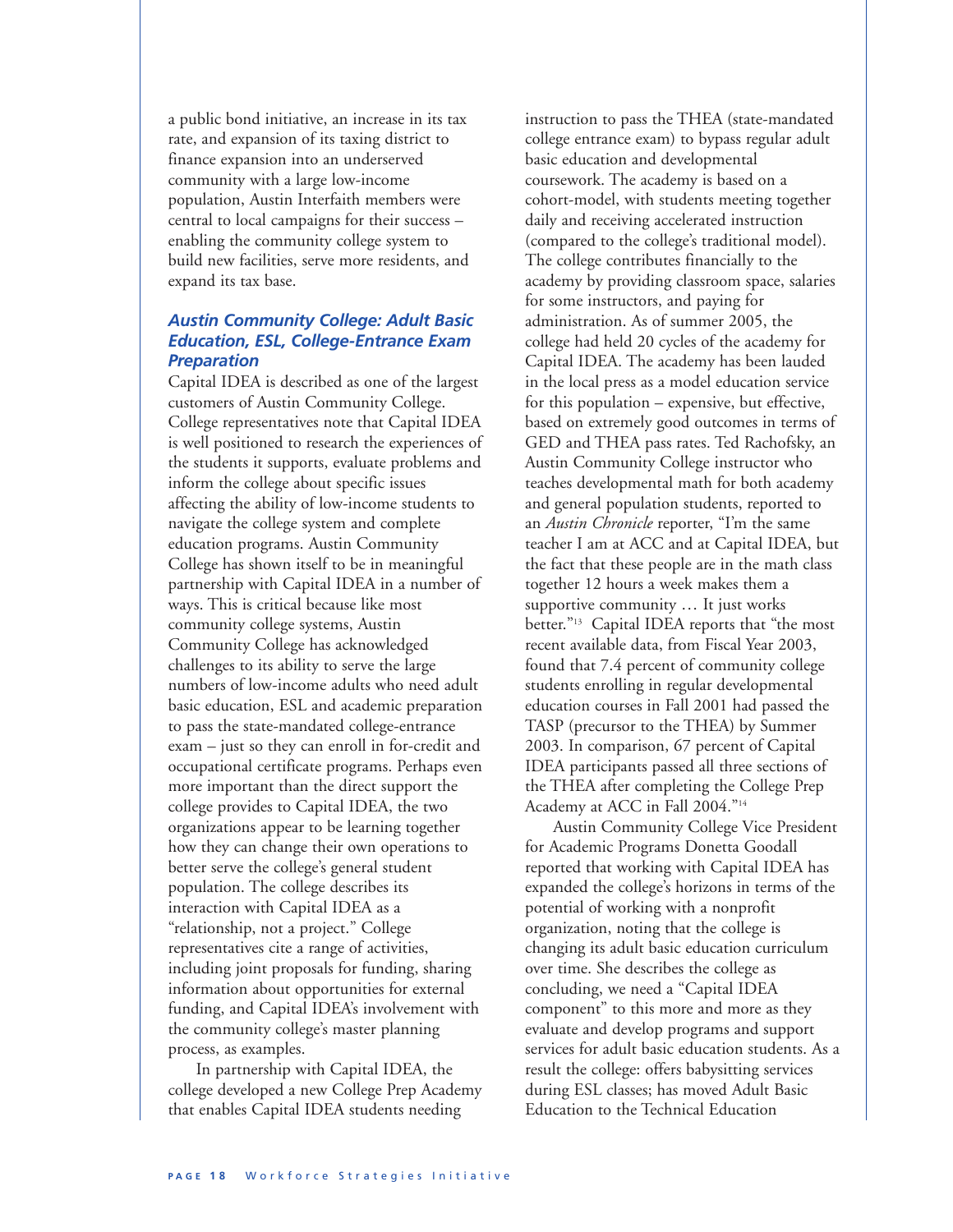a public bond initiative, an increase in its tax rate, and expansion of its taxing district to finance expansion into an underserved community with a large low-income population, Austin Interfaith members were central to local campaigns for their success – enabling the community college system to build new facilities, serve more residents, and expand its tax base.

### *Austin Community College: Adult Basic Education, ESL, College-Entrance Exam Preparation*

Capital IDEA is described as one of the largest customers of Austin Community College. College representatives note that Capital IDEA is well positioned to research the experiences of the students it supports, evaluate problems and inform the college about specific issues affecting the ability of low-income students to navigate the college system and complete education programs. Austin Community College has shown itself to be in meaningful partnership with Capital IDEA in a number of ways. This is critical because like most community college systems, Austin Community College has acknowledged challenges to its ability to serve the large numbers of low-income adults who need adult basic education, ESL and academic preparation to pass the state-mandated college-entrance exam – just so they can enroll in for-credit and occupational certificate programs. Perhaps even more important than the direct support the college provides to Capital IDEA, the two organizations appear to be learning together how they can change their own operations to better serve the college's general student population. The college describes its interaction with Capital IDEA as a "relationship, not a project." College representatives cite a range of activities, including joint proposals for funding, sharing information about opportunities for external funding, and Capital IDEA's involvement with the community college's master planning process, as examples.

In partnership with Capital IDEA, the college developed a new College Prep Academy that enables Capital IDEA students needing

instruction to pass the THEA (state-mandated college entrance exam) to bypass regular adult basic education and developmental coursework. The academy is based on a cohort-model, with students meeting together daily and receiving accelerated instruction (compared to the college's traditional model). The college contributes financially to the academy by providing classroom space, salaries for some instructors, and paying for administration. As of summer 2005, the college had held 20 cycles of the academy for Capital IDEA. The academy has been lauded in the local press as a model education service for this population – expensive, but effective, based on extremely good outcomes in terms of GED and THEA pass rates. Ted Rachofsky, an Austin Community College instructor who teaches developmental math for both academy and general population students, reported to an *Austin Chronicle* reporter, "I'm the same teacher I am at ACC and at Capital IDEA, but the fact that these people are in the math class together 12 hours a week makes them a supportive community … It just works better."13 Capital IDEA reports that "the most recent available data, from Fiscal Year 2003, found that 7.4 percent of community college students enrolling in regular developmental education courses in Fall 2001 had passed the TASP (precursor to the THEA) by Summer 2003. In comparison, 67 percent of Capital IDEA participants passed all three sections of the THEA after completing the College Prep Academy at ACC in Fall 2004."14

Austin Community College Vice President for Academic Programs Donetta Goodall reported that working with Capital IDEA has expanded the college's horizons in terms of the potential of working with a nonprofit organization, noting that the college is changing its adult basic education curriculum over time. She describes the college as concluding, we need a "Capital IDEA component" to this more and more as they evaluate and develop programs and support services for adult basic education students. As a result the college: offers babysitting services during ESL classes; has moved Adult Basic Education to the Technical Education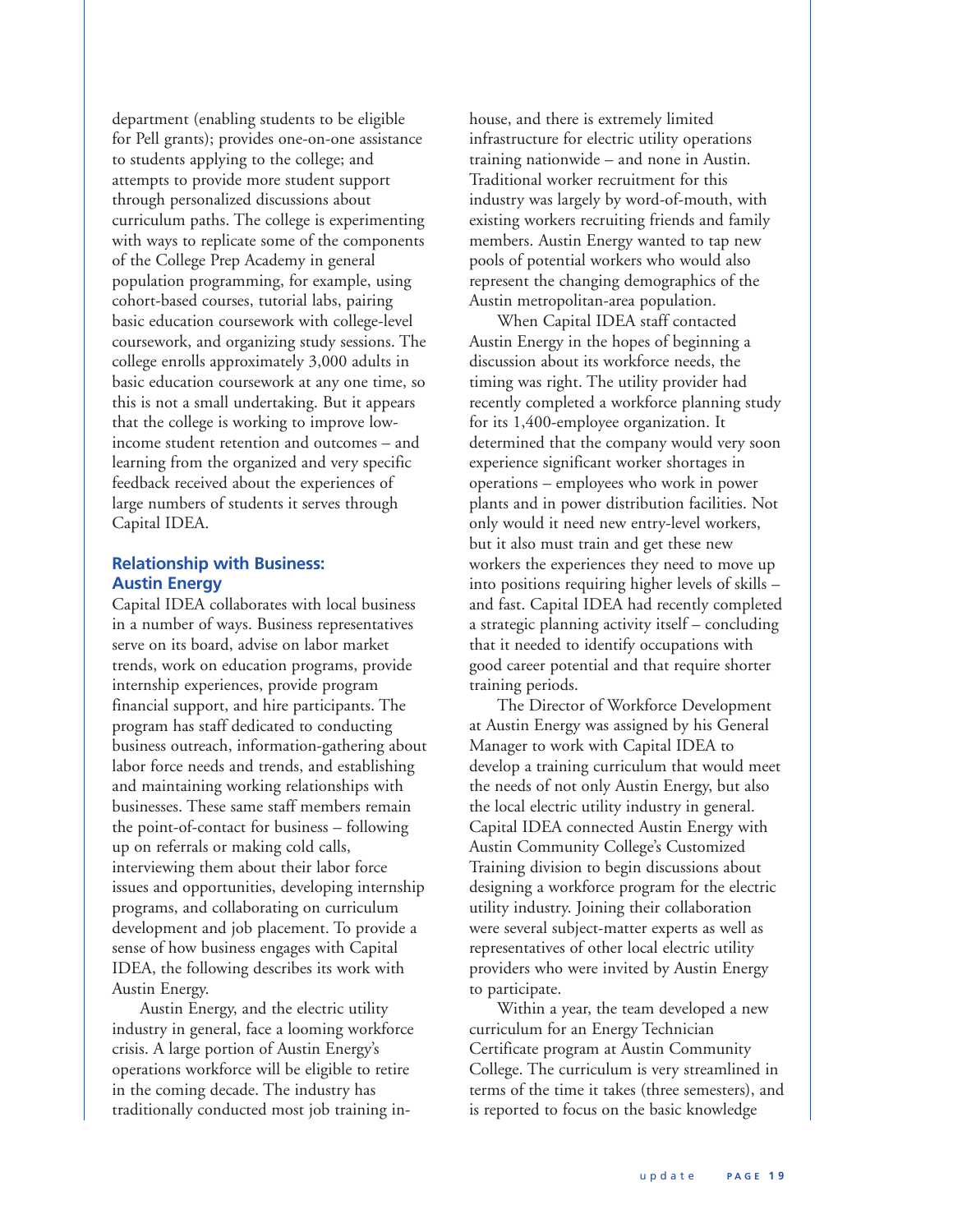department (enabling students to be eligible for Pell grants); provides one-on-one assistance to students applying to the college; and attempts to provide more student support through personalized discussions about curriculum paths. The college is experimenting with ways to replicate some of the components of the College Prep Academy in general population programming, for example, using cohort-based courses, tutorial labs, pairing basic education coursework with college-level coursework, and organizing study sessions. The college enrolls approximately 3,000 adults in basic education coursework at any one time, so this is not a small undertaking. But it appears that the college is working to improve lowincome student retention and outcomes – and learning from the organized and very specific feedback received about the experiences of large numbers of students it serves through Capital IDEA.

### **Relationship with Business: Austin Energy**

Capital IDEA collaborates with local business in a number of ways. Business representatives serve on its board, advise on labor market trends, work on education programs, provide internship experiences, provide program financial support, and hire participants. The program has staff dedicated to conducting business outreach, information-gathering about labor force needs and trends, and establishing and maintaining working relationships with businesses. These same staff members remain the point-of-contact for business – following up on referrals or making cold calls, interviewing them about their labor force issues and opportunities, developing internship programs, and collaborating on curriculum development and job placement. To provide a sense of how business engages with Capital IDEA, the following describes its work with Austin Energy.

Austin Energy, and the electric utility industry in general, face a looming workforce crisis. A large portion of Austin Energy's operations workforce will be eligible to retire in the coming decade. The industry has traditionally conducted most job training inhouse, and there is extremely limited infrastructure for electric utility operations training nationwide – and none in Austin. Traditional worker recruitment for this industry was largely by word-of-mouth, with existing workers recruiting friends and family members. Austin Energy wanted to tap new pools of potential workers who would also represent the changing demographics of the Austin metropolitan-area population.

When Capital IDEA staff contacted Austin Energy in the hopes of beginning a discussion about its workforce needs, the timing was right. The utility provider had recently completed a workforce planning study for its 1,400-employee organization. It determined that the company would very soon experience significant worker shortages in operations – employees who work in power plants and in power distribution facilities. Not only would it need new entry-level workers, but it also must train and get these new workers the experiences they need to move up into positions requiring higher levels of skills – and fast. Capital IDEA had recently completed a strategic planning activity itself – concluding that it needed to identify occupations with good career potential and that require shorter training periods.

The Director of Workforce Development at Austin Energy was assigned by his General Manager to work with Capital IDEA to develop a training curriculum that would meet the needs of not only Austin Energy, but also the local electric utility industry in general. Capital IDEA connected Austin Energy with Austin Community College's Customized Training division to begin discussions about designing a workforce program for the electric utility industry. Joining their collaboration were several subject-matter experts as well as representatives of other local electric utility providers who were invited by Austin Energy to participate.

Within a year, the team developed a new curriculum for an Energy Technician Certificate program at Austin Community College. The curriculum is very streamlined in terms of the time it takes (three semesters), and is reported to focus on the basic knowledge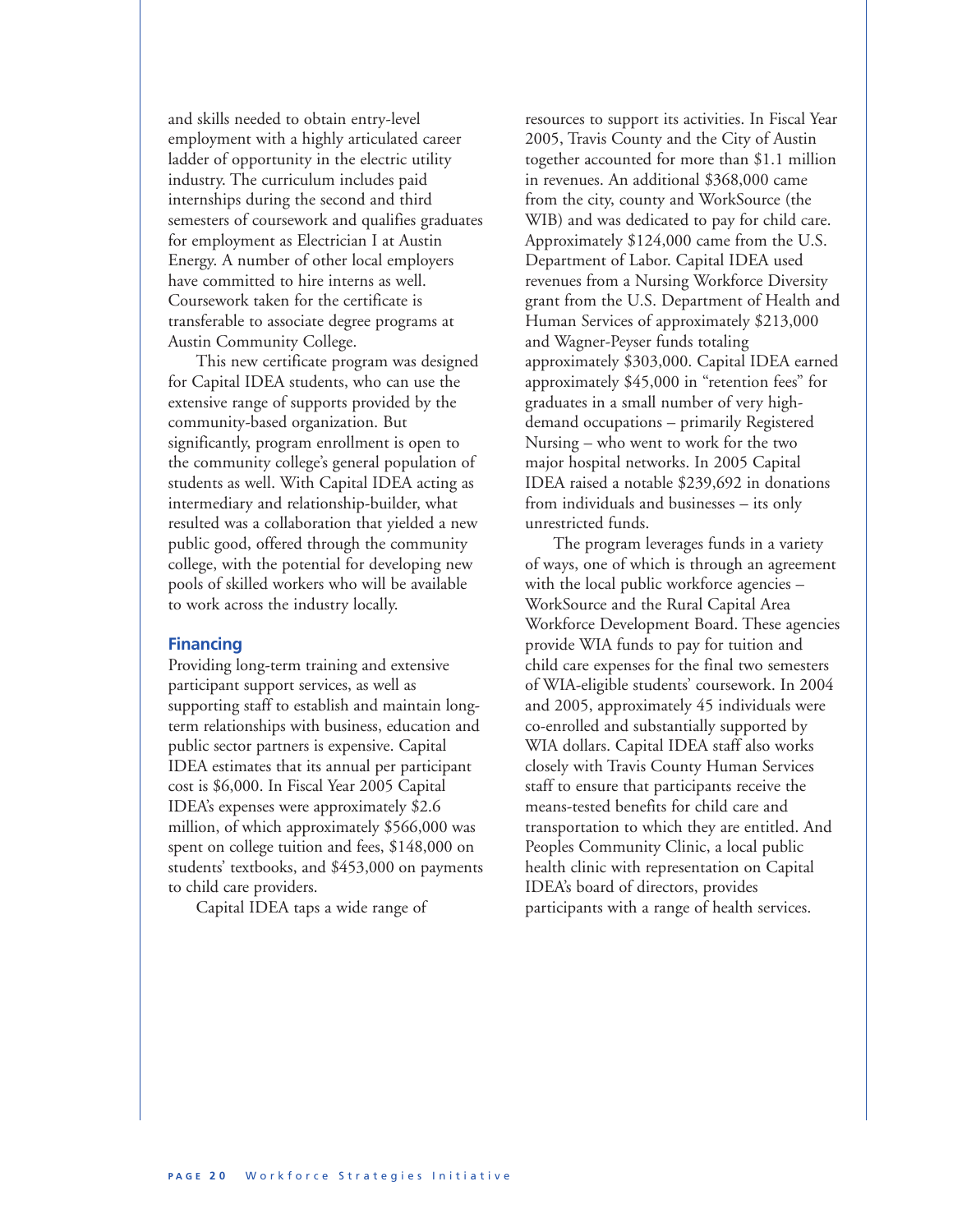and skills needed to obtain entry-level employment with a highly articulated career ladder of opportunity in the electric utility industry. The curriculum includes paid internships during the second and third semesters of coursework and qualifies graduates for employment as Electrician I at Austin Energy. A number of other local employers have committed to hire interns as well. Coursework taken for the certificate is transferable to associate degree programs at Austin Community College.

This new certificate program was designed for Capital IDEA students, who can use the extensive range of supports provided by the community-based organization. But significantly, program enrollment is open to the community college's general population of students as well. With Capital IDEA acting as intermediary and relationship-builder, what resulted was a collaboration that yielded a new public good, offered through the community college, with the potential for developing new pools of skilled workers who will be available to work across the industry locally.

#### **Financing**

Providing long-term training and extensive participant support services, as well as supporting staff to establish and maintain longterm relationships with business, education and public sector partners is expensive. Capital IDEA estimates that its annual per participant cost is \$6,000. In Fiscal Year 2005 Capital IDEA's expenses were approximately \$2.6 million, of which approximately \$566,000 was spent on college tuition and fees, \$148,000 on students' textbooks, and \$453,000 on payments to child care providers.

Capital IDEA taps a wide range of

resources to support its activities. In Fiscal Year 2005, Travis County and the City of Austin together accounted for more than \$1.1 million in revenues. An additional \$368,000 came from the city, county and WorkSource (the WIB) and was dedicated to pay for child care. Approximately \$124,000 came from the U.S. Department of Labor. Capital IDEA used revenues from a Nursing Workforce Diversity grant from the U.S. Department of Health and Human Services of approximately \$213,000 and Wagner-Peyser funds totaling approximately \$303,000. Capital IDEA earned approximately \$45,000 in "retention fees" for graduates in a small number of very highdemand occupations – primarily Registered Nursing – who went to work for the two major hospital networks. In 2005 Capital IDEA raised a notable \$239,692 in donations from individuals and businesses – its only unrestricted funds.

The program leverages funds in a variety of ways, one of which is through an agreement with the local public workforce agencies – WorkSource and the Rural Capital Area Workforce Development Board. These agencies provide WIA funds to pay for tuition and child care expenses for the final two semesters of WIA-eligible students' coursework. In 2004 and 2005, approximately 45 individuals were co-enrolled and substantially supported by WIA dollars. Capital IDEA staff also works closely with Travis County Human Services staff to ensure that participants receive the means-tested benefits for child care and transportation to which they are entitled. And Peoples Community Clinic, a local public health clinic with representation on Capital IDEA's board of directors, provides participants with a range of health services.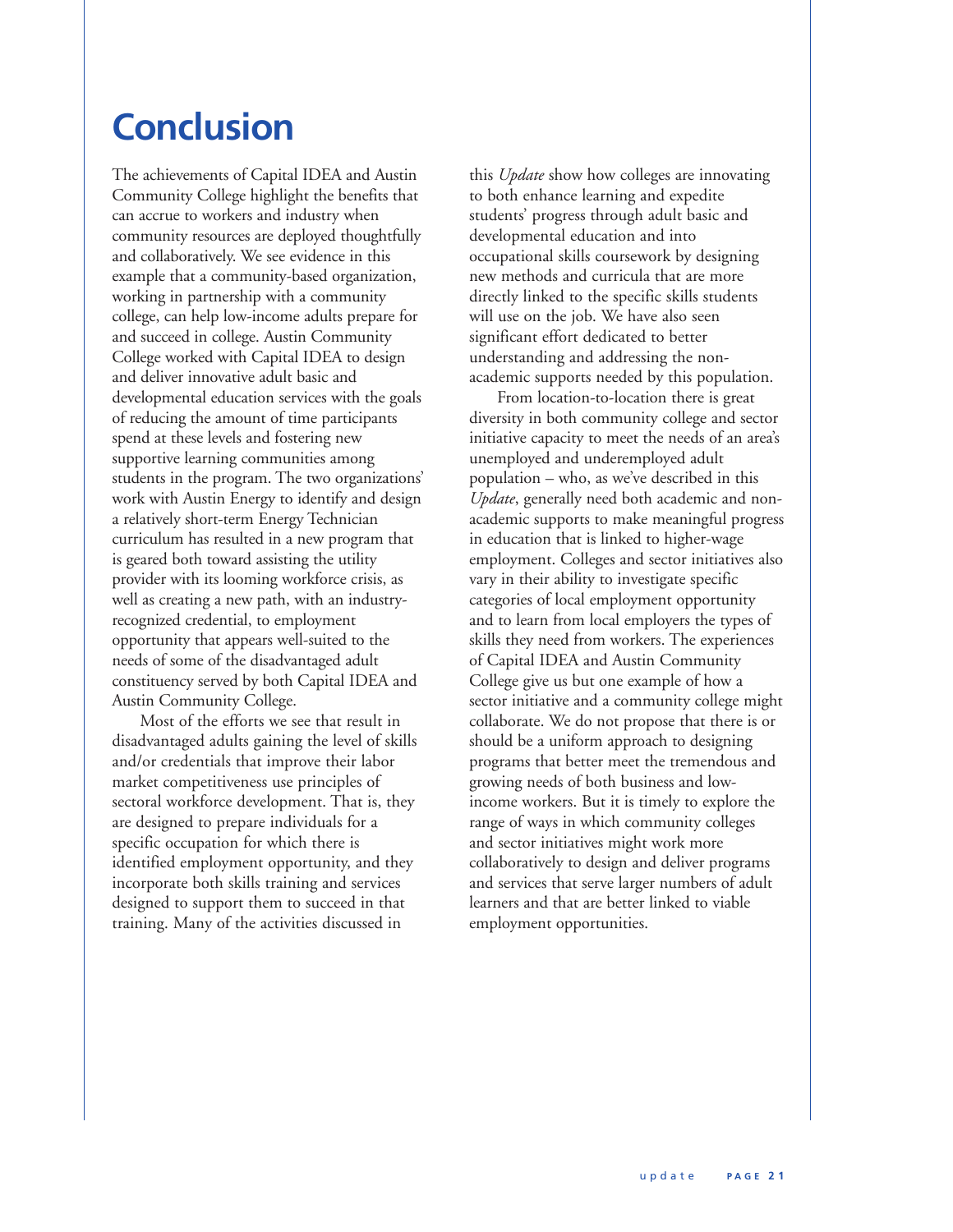# **Conclusion**

The achievements of Capital IDEA and Austin Community College highlight the benefits that can accrue to workers and industry when community resources are deployed thoughtfully and collaboratively. We see evidence in this example that a community-based organization, working in partnership with a community college, can help low-income adults prepare for and succeed in college. Austin Community College worked with Capital IDEA to design and deliver innovative adult basic and developmental education services with the goals of reducing the amount of time participants spend at these levels and fostering new supportive learning communities among students in the program. The two organizations' work with Austin Energy to identify and design a relatively short-term Energy Technician curriculum has resulted in a new program that is geared both toward assisting the utility provider with its looming workforce crisis, as well as creating a new path, with an industryrecognized credential, to employment opportunity that appears well-suited to the needs of some of the disadvantaged adult constituency served by both Capital IDEA and Austin Community College.

Most of the efforts we see that result in disadvantaged adults gaining the level of skills and/or credentials that improve their labor market competitiveness use principles of sectoral workforce development. That is, they are designed to prepare individuals for a specific occupation for which there is identified employment opportunity, and they incorporate both skills training and services designed to support them to succeed in that training. Many of the activities discussed in

this *Update* show how colleges are innovating to both enhance learning and expedite students' progress through adult basic and developmental education and into occupational skills coursework by designing new methods and curricula that are more directly linked to the specific skills students will use on the job. We have also seen significant effort dedicated to better understanding and addressing the nonacademic supports needed by this population.

From location-to-location there is great diversity in both community college and sector initiative capacity to meet the needs of an area's unemployed and underemployed adult population – who, as we've described in this *Update*, generally need both academic and nonacademic supports to make meaningful progress in education that is linked to higher-wage employment. Colleges and sector initiatives also vary in their ability to investigate specific categories of local employment opportunity and to learn from local employers the types of skills they need from workers. The experiences of Capital IDEA and Austin Community College give us but one example of how a sector initiative and a community college might collaborate. We do not propose that there is or should be a uniform approach to designing programs that better meet the tremendous and growing needs of both business and lowincome workers. But it is timely to explore the range of ways in which community colleges and sector initiatives might work more collaboratively to design and deliver programs and services that serve larger numbers of adult learners and that are better linked to viable employment opportunities.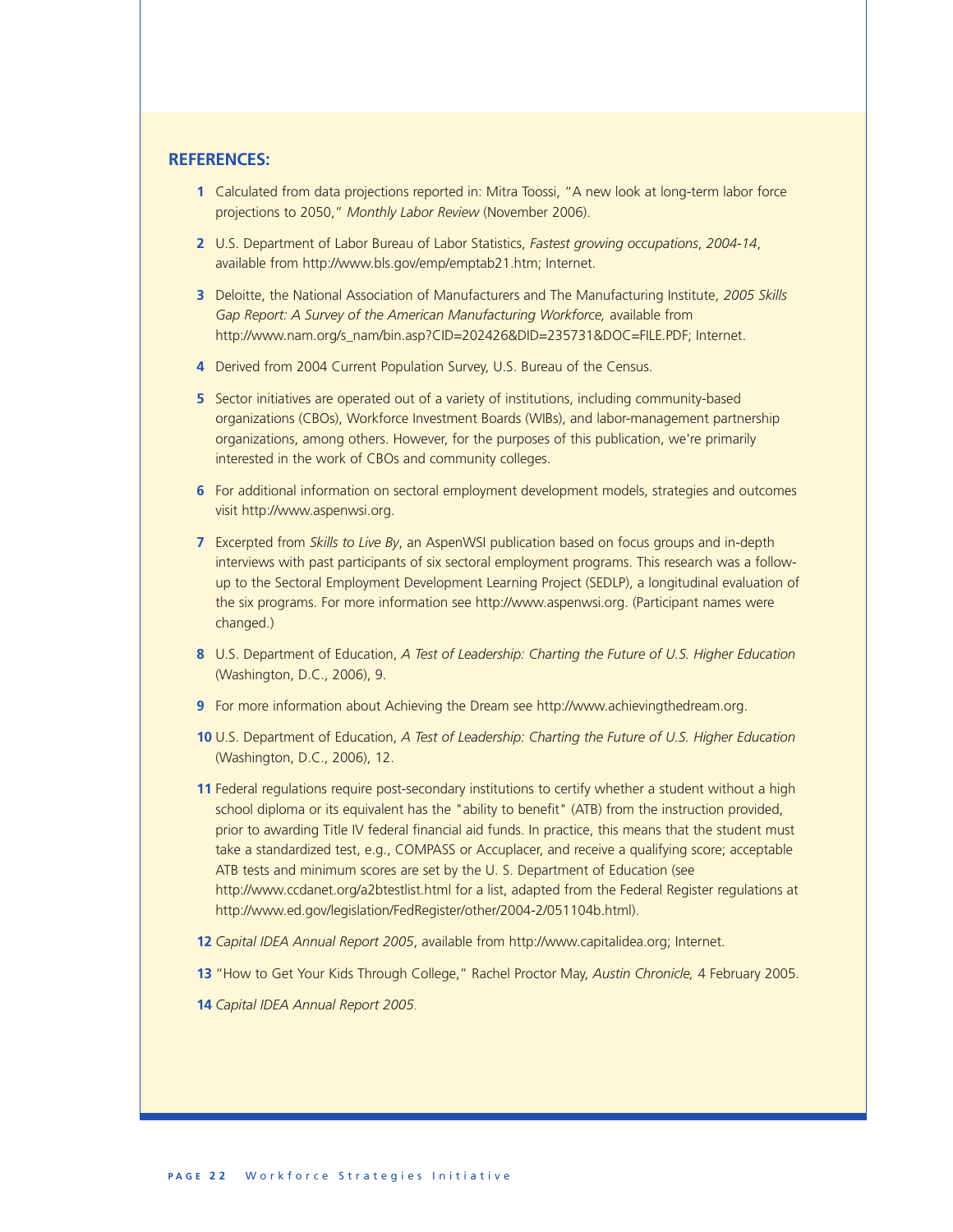### **REFERENCES:**

- **1** Calculated from data projections reported in: Mitra Toossi, "A new look at long-term labor force projections to 2050," *Monthly Labor Review* (November 2006).
- **2** U.S. Department of Labor Bureau of Labor Statistics, *Fastest growing occupations*, *2004-14*, available from http://www.bls.gov/emp/emptab21.htm; Internet.
- **3** Deloitte, the National Association of Manufacturers and The Manufacturing Institute, *2005 Skills Gap Report: A Survey of the American Manufacturing Workforce,* available from http://www.nam.org/s\_nam/bin.asp?CID=202426&DID=235731&DOC=FILE.PDF; Internet.
- **4** Derived from 2004 Current Population Survey, U.S. Bureau of the Census.
- **5** Sector initiatives are operated out of a variety of institutions, including community-based organizations (CBOs), Workforce Investment Boards (WIBs), and labor-management partnership organizations, among others. However, for the purposes of this publication, we're primarily interested in the work of CBOs and community colleges.
- **6** For additional information on sectoral employment development models, strategies and outcomes visit http://www.aspenwsi.org.
- **7** Excerpted from *Skills to Live By*, an AspenWSI publication based on focus groups and in-depth interviews with past participants of six sectoral employment programs. This research was a followup to the Sectoral Employment Development Learning Project (SEDLP), a longitudinal evaluation of the six programs. For more information see http://www.aspenwsi.org. (Participant names were changed.)
- **8** U.S. Department of Education, *A Test of Leadership: Charting the Future of U.S. Higher Education*  (Washington, D.C., 2006), 9.
- **9** For more information about Achieving the Dream see http://www.achievingthedream.org.
- **10** U.S. Department of Education, *A Test of Leadership: Charting the Future of U.S. Higher Education*  (Washington, D.C., 2006), 12.
- **11** Federal regulations require post-secondary institutions to certify whether a student without a high school diploma or its equivalent has the "ability to benefit" (ATB) from the instruction provided, prior to awarding Title IV federal financial aid funds. In practice, this means that the student must take a standardized test, e.g., COMPASS or Accuplacer, and receive a qualifying score; acceptable ATB tests and minimum scores are set by the U. S. Department of Education (see http://www.ccdanet.org/a2btestlist.html for a list, adapted from the Federal Register regulations at http://www.ed.gov/legislation/FedRegister/other/2004-2/051104b.html).
- **12** *Capital IDEA Annual Report 2005*, available from http://www.capitalidea.org; Internet.
- **13** "How to Get Your Kids Through College," Rachel Proctor May, *Austin Chronicle,* 4 February 2005.
- **14** *Capital IDEA Annual Report 2005*.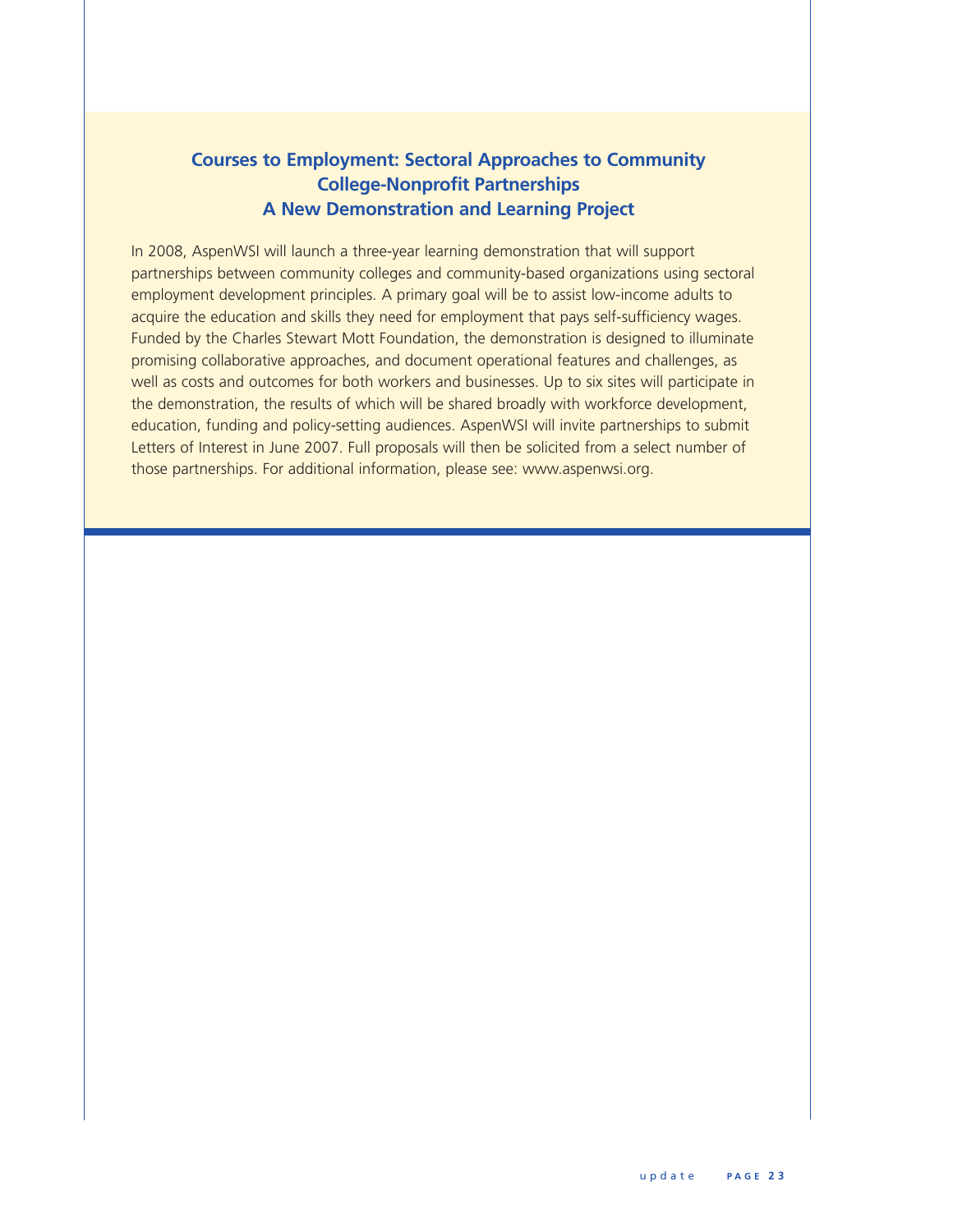### **Courses to Employment: Sectoral Approaches to Community College-Nonprofit Partnerships A New Demonstration and Learning Project**

In 2008, AspenWSI will launch a three-year learning demonstration that will support partnerships between community colleges and community-based organizations using sectoral employment development principles. A primary goal will be to assist low-income adults to acquire the education and skills they need for employment that pays self-sufficiency wages. Funded by the Charles Stewart Mott Foundation, the demonstration is designed to illuminate promising collaborative approaches, and document operational features and challenges, as well as costs and outcomes for both workers and businesses. Up to six sites will participate in the demonstration, the results of which will be shared broadly with workforce development, education, funding and policy-setting audiences. AspenWSI will invite partnerships to submit Letters of Interest in June 2007. Full proposals will then be solicited from a select number of those partnerships. For additional information, please see: www.aspenwsi.org.